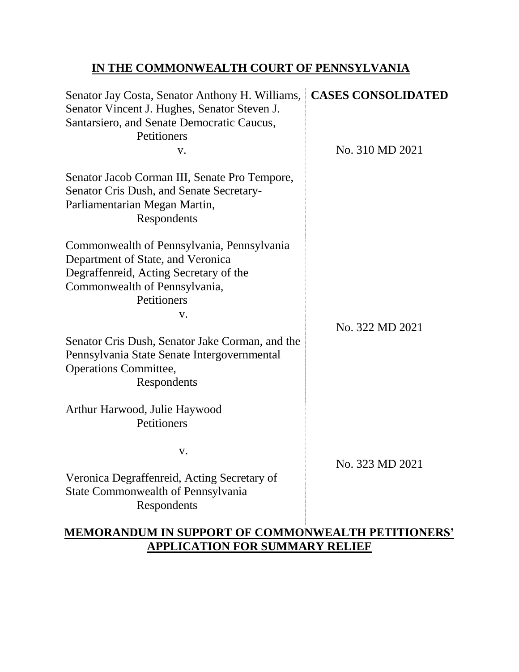# **IN THE COMMONWEALTH COURT OF PENNSYLVANIA**

| Senator Jay Costa, Senator Anthony H. Williams,<br>Senator Vincent J. Hughes, Senator Steven J.<br>Santarsiero, and Senate Democratic Caucus,<br>Petitioners                                                                                                                                                                     | <b>CASES CONSOLIDATED</b> |
|----------------------------------------------------------------------------------------------------------------------------------------------------------------------------------------------------------------------------------------------------------------------------------------------------------------------------------|---------------------------|
| V.<br>Senator Jacob Corman III, Senate Pro Tempore,<br>Senator Cris Dush, and Senate Secretary-<br>Parliamentarian Megan Martin,<br>Respondents                                                                                                                                                                                  | No. 310 MD 2021           |
| Commonwealth of Pennsylvania, Pennsylvania<br>Department of State, and Veronica<br>Degraffenreid, Acting Secretary of the<br>Commonwealth of Pennsylvania,<br>Petitioners<br>V.<br>Senator Cris Dush, Senator Jake Corman, and the<br>Pennsylvania State Senate Intergovernmental<br><b>Operations Committee,</b><br>Respondents | No. 322 MD 2021           |
| Arthur Harwood, Julie Haywood<br>Petitioners                                                                                                                                                                                                                                                                                     |                           |
| V.<br>Veronica Degraffenreid, Acting Secretary of<br><b>State Commonwealth of Pennsylvania</b><br>Respondents                                                                                                                                                                                                                    | No. 323 MD 2021           |

# **MEMORANDUM IN SUPPORT OF COMMONWEALTH PETITIONERS' APPLICATION FOR SUMMARY RELIEF**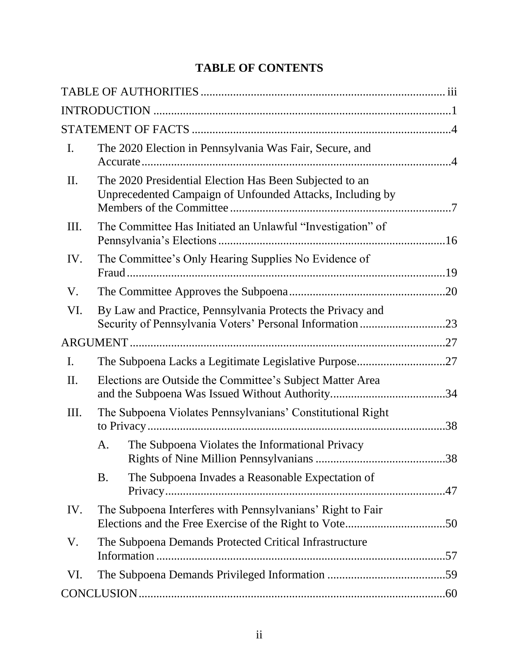# **TABLE OF CONTENTS**

| $\mathbf{I}$ . |           | The 2020 Election in Pennsylvania Was Fair, Secure, and                                                                |     |
|----------------|-----------|------------------------------------------------------------------------------------------------------------------------|-----|
| II.            |           | The 2020 Presidential Election Has Been Subjected to an<br>Unprecedented Campaign of Unfounded Attacks, Including by   |     |
| Ш.             |           | The Committee Has Initiated an Unlawful "Investigation" of                                                             |     |
| IV.            |           | The Committee's Only Hearing Supplies No Evidence of                                                                   |     |
| V.             |           |                                                                                                                        |     |
| VI.            |           | By Law and Practice, Pennsylvania Protects the Privacy and<br>Security of Pennsylvania Voters' Personal Information 23 |     |
|                |           |                                                                                                                        |     |
| $\mathbf{I}$ . |           | The Subpoena Lacks a Legitimate Legislative Purpose27                                                                  |     |
| II.            |           | Elections are Outside the Committee's Subject Matter Area                                                              |     |
| Ш.             |           | The Subpoena Violates Pennsylvanians' Constitutional Right                                                             | .38 |
|                | A.        | The Subpoena Violates the Informational Privacy                                                                        | .38 |
|                | <b>B.</b> | The Subpoena Invades a Reasonable Expectation of                                                                       |     |
| IV.            |           | The Subpoena Interferes with Pennsylvanians' Right to Fair                                                             |     |
| V.             |           | The Subpoena Demands Protected Critical Infrastructure                                                                 |     |
| VI.            |           |                                                                                                                        |     |
|                |           |                                                                                                                        |     |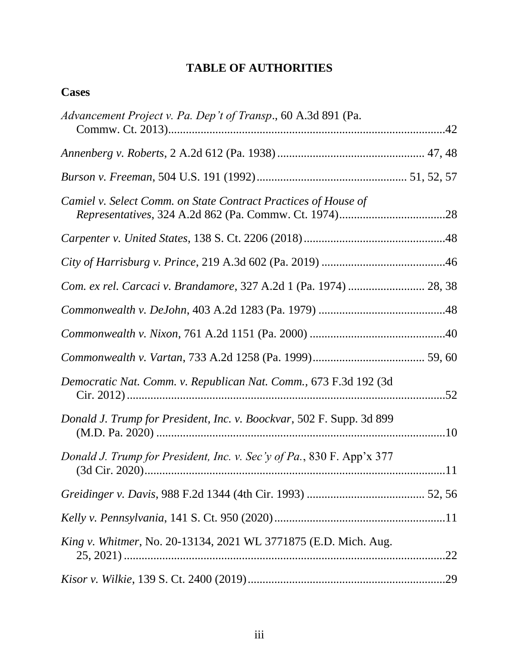# <span id="page-2-0"></span>**TABLE OF AUTHORITIES**

| .22 |
|-----|
|     |
|     |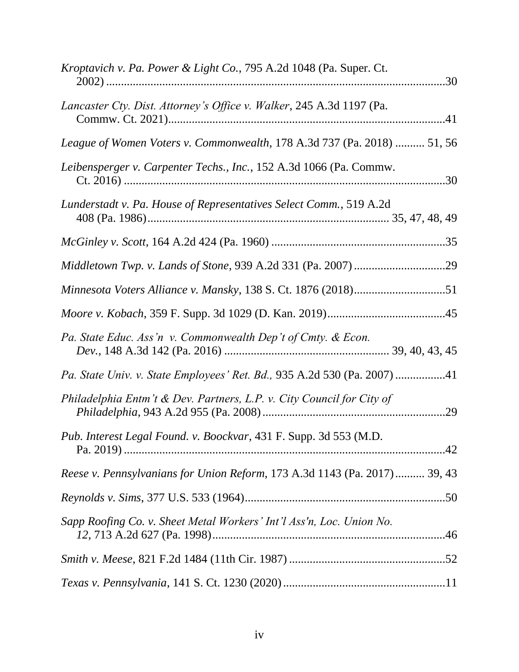| <i>Kroptavich v. Pa. Power &amp; Light Co., 795 A.2d 1048 (Pa. Super. Ct.</i> |
|-------------------------------------------------------------------------------|
| Lancaster Cty. Dist. Attorney's Office v. Walker, 245 A.3d 1197 (Pa.          |
| League of Women Voters v. Commonwealth, 178 A.3d 737 (Pa. 2018)  51, 56       |
| Leibensperger v. Carpenter Techs., Inc., 152 A.3d 1066 (Pa. Commw.            |
| Lunderstadt v. Pa. House of Representatives Select Comm., 519 A.2d            |
|                                                                               |
|                                                                               |
|                                                                               |
|                                                                               |
| Pa. State Educ. Ass'n v. Commonwealth Dep't of Cmty. & Econ.                  |
| Pa. State Univ. v. State Employees' Ret. Bd., 935 A.2d 530 (Pa. 2007) 41      |
| Philadelphia Entm't & Dev. Partners, L.P. v. City Council for City of         |
| Pub. Interest Legal Found. v. Boockvar, 431 F. Supp. 3d 553 (M.D.             |
| Reese v. Pennsylvanians for Union Reform, 173 A.3d 1143 (Pa. 2017) 39, 43     |
|                                                                               |
| Sapp Roofing Co. v. Sheet Metal Workers' Int'l Ass'n, Loc. Union No.          |
|                                                                               |
|                                                                               |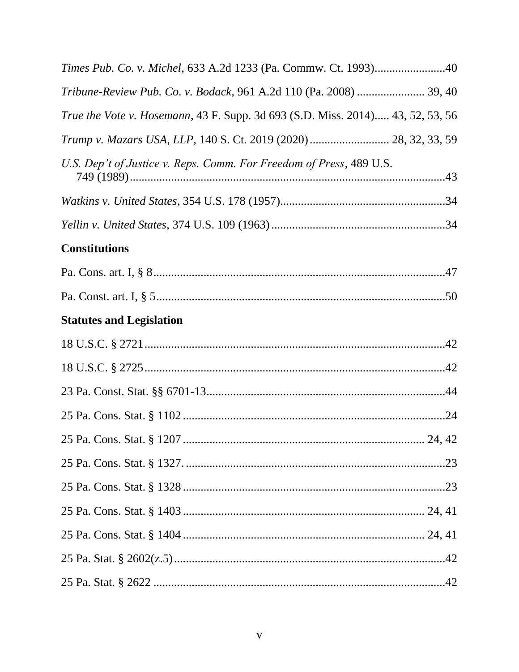| Times Pub. Co. v. Michel, 633 A.2d 1233 (Pa. Commw. Ct. 1993)40                |
|--------------------------------------------------------------------------------|
| Tribune-Review Pub. Co. v. Bodack, 961 A.2d 110 (Pa. 2008)  39, 40             |
| True the Vote v. Hosemann, 43 F. Supp. 3d 693 (S.D. Miss. 2014) 43, 52, 53, 56 |
| Trump v. Mazars USA, LLP, 140 S. Ct. 2019 (2020) 28, 32, 33, 59                |
| U.S. Dep't of Justice v. Reps. Comm. For Freedom of Press, 489 U.S.            |
|                                                                                |
|                                                                                |
| <b>Constitutions</b>                                                           |
|                                                                                |
|                                                                                |
| <b>Statutes and Legislation</b>                                                |
|                                                                                |
|                                                                                |
|                                                                                |
|                                                                                |
|                                                                                |
|                                                                                |
|                                                                                |
|                                                                                |
|                                                                                |
|                                                                                |
|                                                                                |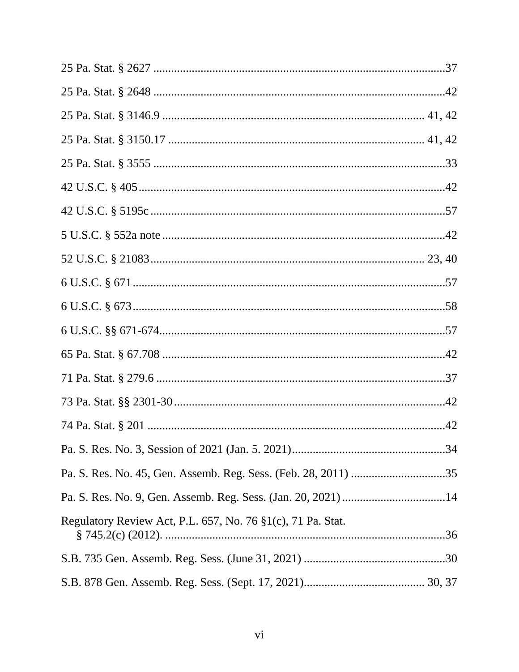| Regulatory Review Act, P.L. 657, No. 76 §1(c), 71 Pa. Stat. |  |
|-------------------------------------------------------------|--|
|                                                             |  |
|                                                             |  |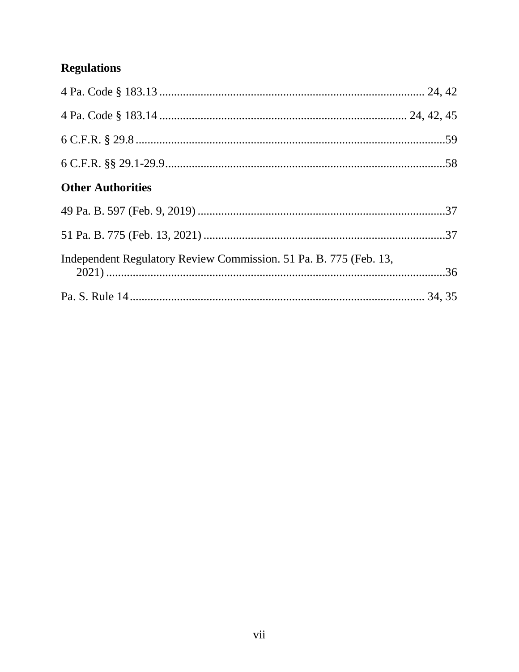# **Regulations**

| <b>Other Authorities</b>                                          |  |
|-------------------------------------------------------------------|--|
|                                                                   |  |
|                                                                   |  |
| Independent Regulatory Review Commission. 51 Pa. B. 775 (Feb. 13, |  |
|                                                                   |  |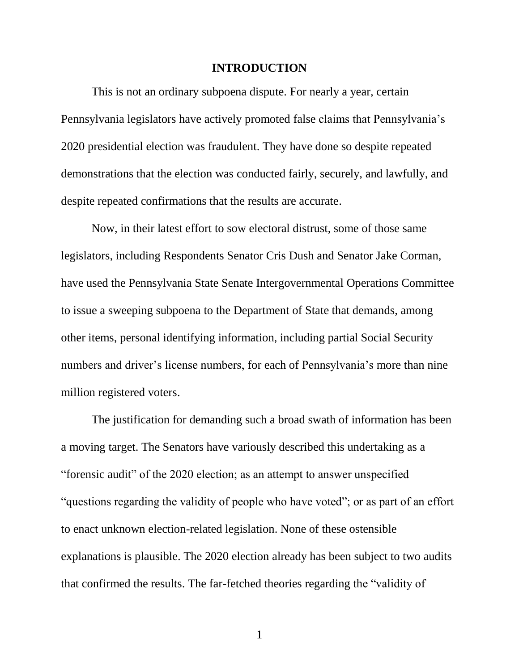#### **INTRODUCTION**

<span id="page-7-0"></span>This is not an ordinary subpoena dispute. For nearly a year, certain Pennsylvania legislators have actively promoted false claims that Pennsylvania's 2020 presidential election was fraudulent. They have done so despite repeated demonstrations that the election was conducted fairly, securely, and lawfully, and despite repeated confirmations that the results are accurate.

Now, in their latest effort to sow electoral distrust, some of those same legislators, including Respondents Senator Cris Dush and Senator Jake Corman, have used the Pennsylvania State Senate Intergovernmental Operations Committee to issue a sweeping subpoena to the Department of State that demands, among other items, personal identifying information, including partial Social Security numbers and driver's license numbers, for each of Pennsylvania's more than nine million registered voters.

The justification for demanding such a broad swath of information has been a moving target. The Senators have variously described this undertaking as a "forensic audit" of the 2020 election; as an attempt to answer unspecified "questions regarding the validity of people who have voted"; or as part of an effort to enact unknown election-related legislation. None of these ostensible explanations is plausible. The 2020 election already has been subject to two audits that confirmed the results. The far-fetched theories regarding the "validity of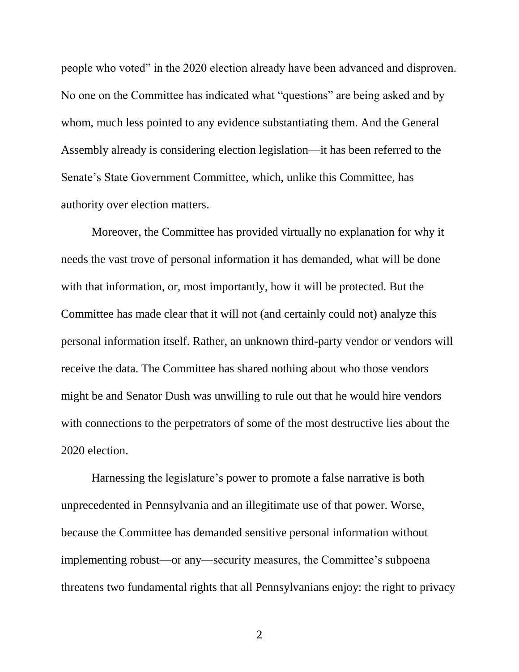people who voted" in the 2020 election already have been advanced and disproven. No one on the Committee has indicated what "questions" are being asked and by whom, much less pointed to any evidence substantiating them. And the General Assembly already is considering election legislation—it has been referred to the Senate's State Government Committee, which, unlike this Committee, has authority over election matters.

Moreover, the Committee has provided virtually no explanation for why it needs the vast trove of personal information it has demanded, what will be done with that information, or, most importantly, how it will be protected. But the Committee has made clear that it will not (and certainly could not) analyze this personal information itself. Rather, an unknown third-party vendor or vendors will receive the data. The Committee has shared nothing about who those vendors might be and Senator Dush was unwilling to rule out that he would hire vendors with connections to the perpetrators of some of the most destructive lies about the 2020 election.

Harnessing the legislature's power to promote a false narrative is both unprecedented in Pennsylvania and an illegitimate use of that power. Worse, because the Committee has demanded sensitive personal information without implementing robust—or any—security measures, the Committee's subpoena threatens two fundamental rights that all Pennsylvanians enjoy: the right to privacy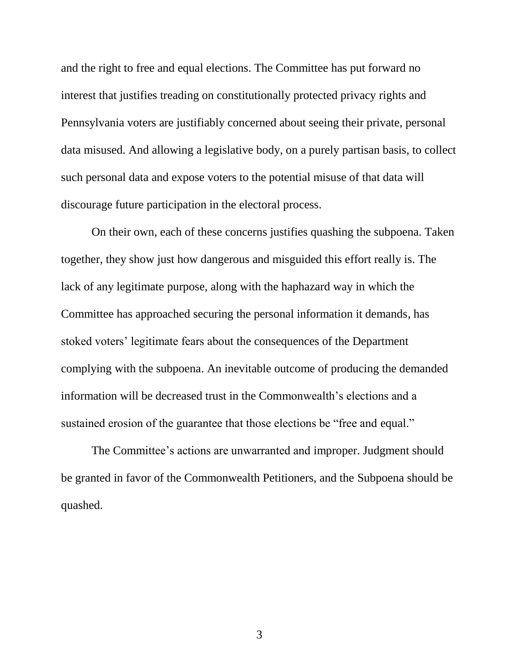and the right to free and equal elections. The Committee has put forward no interest that justifies treading on constitutionally protected privacy rights and Pennsylvania voters are justifiably concerned about seeing their private, personal data misused. And allowing a legislative body, on a purely partisan basis, to collect such personal data and expose voters to the potential misuse of that data will discourage future participation in the electoral process.

On their own, each of these concerns justifies quashing the subpoena. Taken together, they show just how dangerous and misguided this effort really is. The lack of any legitimate purpose, along with the haphazard way in which the Committee has approached securing the personal information it demands, has stoked voters' legitimate fears about the consequences of the Department complying with the subpoena. An inevitable outcome of producing the demanded information will be decreased trust in the Commonwealth's elections and a sustained erosion of the guarantee that those elections be "free and equal."

The Committee's actions are unwarranted and improper. Judgment should be granted in favor of the Commonwealth Petitioners, and the Subpoena should be quashed.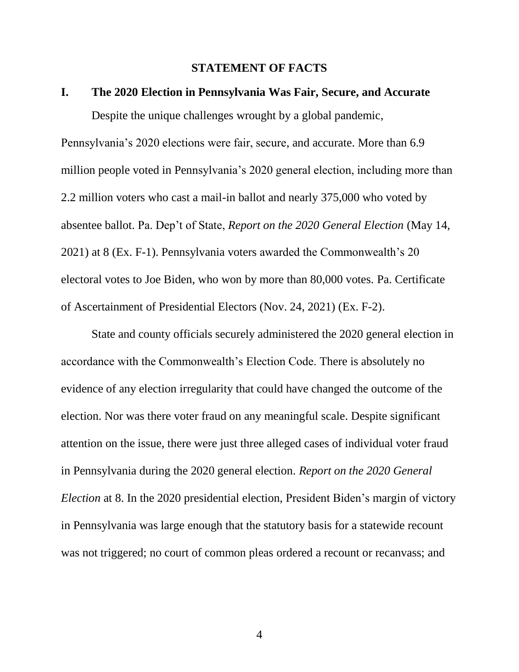#### **STATEMENT OF FACTS**

### <span id="page-10-1"></span><span id="page-10-0"></span>**I. The 2020 Election in Pennsylvania Was Fair, Secure, and Accurate**

Despite the unique challenges wrought by a global pandemic,

Pennsylvania's 2020 elections were fair, secure, and accurate. More than 6.9 million people voted in Pennsylvania's 2020 general election, including more than 2.2 million voters who cast a mail-in ballot and nearly 375,000 who voted by absentee ballot. Pa. Dep't of State, *Report on the 2020 General Election* (May 14, 2021) at 8 (Ex. F-1). Pennsylvania voters awarded the Commonwealth's 20 electoral votes to Joe Biden, who won by more than 80,000 votes. Pa. Certificate of Ascertainment of Presidential Electors (Nov. 24, 2021) (Ex. F-2).

State and county officials securely administered the 2020 general election in accordance with the Commonwealth's Election Code. There is absolutely no evidence of any election irregularity that could have changed the outcome of the election. Nor was there voter fraud on any meaningful scale. Despite significant attention on the issue, there were just three alleged cases of individual voter fraud in Pennsylvania during the 2020 general election. *Report on the 2020 General Election* at 8. In the 2020 presidential election, President Biden's margin of victory in Pennsylvania was large enough that the statutory basis for a statewide recount was not triggered; no court of common pleas ordered a recount or recanvass; and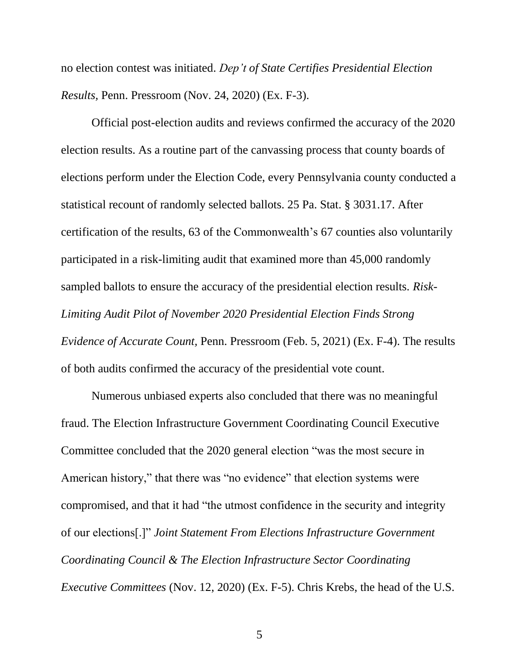no election contest was initiated. *Dep't of State Certifies Presidential Election Results,* Penn. Pressroom (Nov. 24, 2020) (Ex. F-3).

Official post-election audits and reviews confirmed the accuracy of the 2020 election results. As a routine part of the canvassing process that county boards of elections perform under the Election Code, every Pennsylvania county conducted a statistical recount of randomly selected ballots. 25 Pa. Stat. § 3031.17. After certification of the results, 63 of the Commonwealth's 67 counties also voluntarily participated in a risk-limiting audit that examined more than 45,000 randomly sampled ballots to ensure the accuracy of the presidential election results. *Risk-Limiting Audit Pilot of November 2020 Presidential Election Finds Strong Evidence of Accurate Count,* Penn. Pressroom (Feb. 5, 2021) (Ex. F-4). The results of both audits confirmed the accuracy of the presidential vote count.

Numerous unbiased experts also concluded that there was no meaningful fraud. The Election Infrastructure Government Coordinating Council Executive Committee concluded that the 2020 general election "was the most secure in American history," that there was "no evidence" that election systems were compromised, and that it had "the utmost confidence in the security and integrity of our elections[.]" *Joint Statement From Elections Infrastructure Government Coordinating Council & The Election Infrastructure Sector Coordinating Executive Committees* (Nov. 12, 2020) (Ex. F-5). Chris Krebs, the head of the U.S.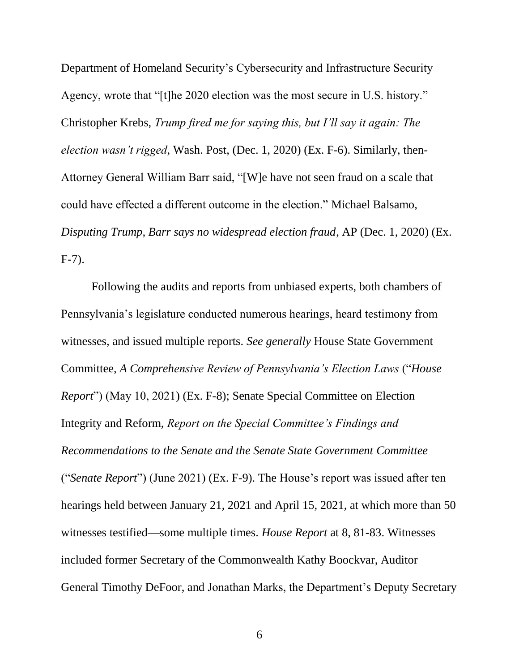Department of Homeland Security's Cybersecurity and Infrastructure Security Agency, wrote that "[t]he 2020 election was the most secure in U.S. history." Christopher Krebs, *Trump fired me for saying this, but I'll say it again: The election wasn't rigged*, Wash. Post, (Dec. 1, 2020) (Ex. F-6). Similarly, then-Attorney General William Barr said, "[W]e have not seen fraud on a scale that could have effected a different outcome in the election." Michael Balsamo, *Disputing Trump, Barr says no widespread election fraud*, AP (Dec. 1, 2020) (Ex. F-7).

Following the audits and reports from unbiased experts, both chambers of Pennsylvania's legislature conducted numerous hearings, heard testimony from witnesses, and issued multiple reports. *See generally* House State Government Committee, *A Comprehensive Review of Pennsylvania's Election Laws* ("*House Report*") (May 10, 2021) (Ex. F-8); Senate Special Committee on Election Integrity and Reform, *Report on the Special Committee's Findings and Recommendations to the Senate and the Senate State Government Committee* ("*Senate Report*") (June 2021) (Ex. F-9). The House's report was issued after ten hearings held between January 21, 2021 and April 15, 2021, at which more than 50 witnesses testified—some multiple times. *House Report* at 8, 81-83. Witnesses included former Secretary of the Commonwealth Kathy Boockvar, Auditor General Timothy DeFoor, and Jonathan Marks, the Department's Deputy Secretary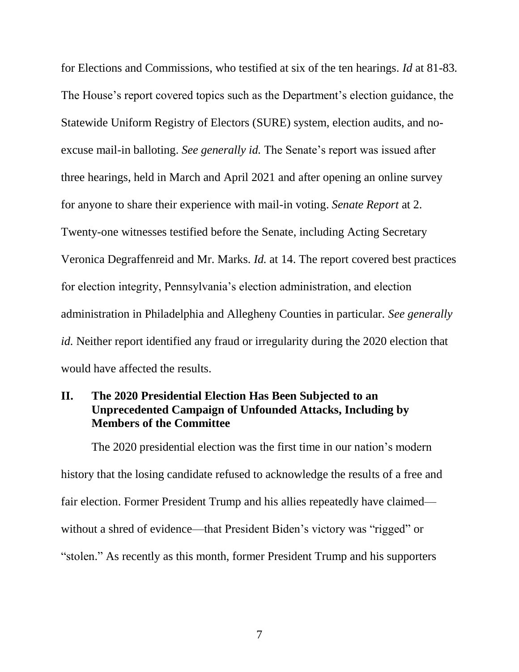for Elections and Commissions, who testified at six of the ten hearings. *Id* at 81-83*.* The House's report covered topics such as the Department's election guidance, the Statewide Uniform Registry of Electors (SURE) system, election audits, and noexcuse mail-in balloting. *See generally id.* The Senate's report was issued after three hearings, held in March and April 2021 and after opening an online survey for anyone to share their experience with mail-in voting. *Senate Report* at 2. Twenty-one witnesses testified before the Senate, including Acting Secretary Veronica Degraffenreid and Mr. Marks. *Id.* at 14. The report covered best practices for election integrity, Pennsylvania's election administration, and election administration in Philadelphia and Allegheny Counties in particular. *See generally id.* Neither report identified any fraud or irregularity during the 2020 election that would have affected the results.

### <span id="page-13-0"></span>**II. The 2020 Presidential Election Has Been Subjected to an Unprecedented Campaign of Unfounded Attacks, Including by Members of the Committee**

The 2020 presidential election was the first time in our nation's modern history that the losing candidate refused to acknowledge the results of a free and fair election. Former President Trump and his allies repeatedly have claimed without a shred of evidence—that President Biden's victory was "rigged" or "stolen." As recently as this month, former President Trump and his supporters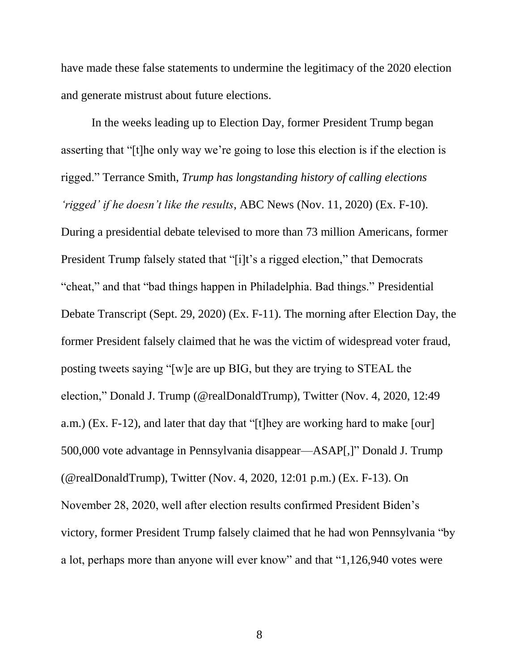have made these false statements to undermine the legitimacy of the 2020 election and generate mistrust about future elections.

In the weeks leading up to Election Day, former President Trump began asserting that "[t]he only way we're going to lose this election is if the election is rigged." Terrance Smith, *Trump has longstanding history of calling elections 'rigged' if he doesn't like the results*, ABC News (Nov. 11, 2020) (Ex. F-10). During a presidential debate televised to more than 73 million Americans, former President Trump falsely stated that "[i]t's a rigged election," that Democrats "cheat," and that "bad things happen in Philadelphia. Bad things." Presidential Debate Transcript (Sept. 29, 2020) (Ex. F-11). The morning after Election Day, the former President falsely claimed that he was the victim of widespread voter fraud, posting tweets saying "[w]e are up BIG, but they are trying to STEAL the election," Donald J. Trump (@realDonaldTrump), Twitter (Nov. 4, 2020, 12:49 a.m.) (Ex. F-12), and later that day that "[t]hey are working hard to make [our] 500,000 vote advantage in Pennsylvania disappear—ASAP[,]" Donald J. Trump (@realDonaldTrump), Twitter (Nov. 4, 2020, 12:01 p.m.) (Ex. F-13). On November 28, 2020, well after election results confirmed President Biden's victory, former President Trump falsely claimed that he had won Pennsylvania "by a lot, perhaps more than anyone will ever know" and that "1,126,940 votes were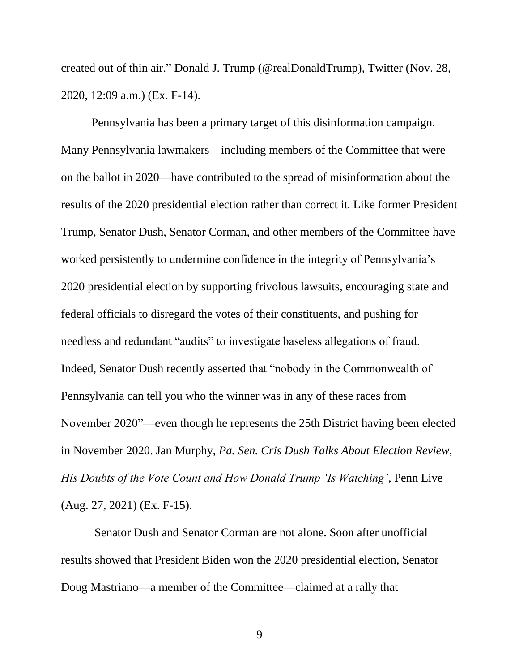created out of thin air." Donald J. Trump (@realDonaldTrump), Twitter (Nov. 28, 2020, 12:09 a.m.) (Ex. F-14).

Pennsylvania has been a primary target of this disinformation campaign. Many Pennsylvania lawmakers—including members of the Committee that were on the ballot in 2020—have contributed to the spread of misinformation about the results of the 2020 presidential election rather than correct it. Like former President Trump, Senator Dush, Senator Corman, and other members of the Committee have worked persistently to undermine confidence in the integrity of Pennsylvania's 2020 presidential election by supporting frivolous lawsuits, encouraging state and federal officials to disregard the votes of their constituents, and pushing for needless and redundant "audits" to investigate baseless allegations of fraud. Indeed, Senator Dush recently asserted that "nobody in the Commonwealth of Pennsylvania can tell you who the winner was in any of these races from November 2020"—even though he represents the 25th District having been elected in November 2020. Jan Murphy, *Pa. Sen. Cris Dush Talks About Election Review, His Doubts of the Vote Count and How Donald Trump 'Is Watching'*, Penn Live (Aug. 27, 2021) (Ex. F-15).

Senator Dush and Senator Corman are not alone. Soon after unofficial results showed that President Biden won the 2020 presidential election, Senator Doug Mastriano—a member of the Committee—claimed at a rally that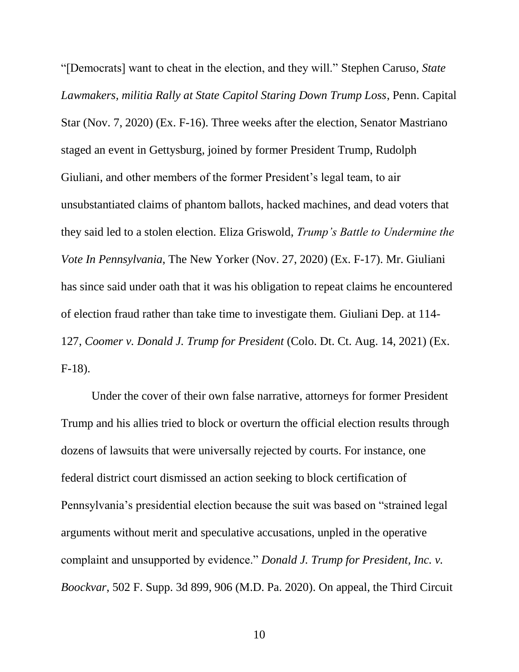"[Democrats] want to cheat in the election, and they will." Stephen Caruso*, State Lawmakers, militia Rally at State Capitol Staring Down Trump Loss*, Penn. Capital Star (Nov. 7, 2020) (Ex. F-16). Three weeks after the election, Senator Mastriano staged an event in Gettysburg, joined by former President Trump, Rudolph Giuliani, and other members of the former President's legal team, to air unsubstantiated claims of phantom ballots, hacked machines, and dead voters that they said led to a stolen election. Eliza Griswold, *Trump's Battle to Undermine the Vote In Pennsylvania*, The New Yorker (Nov. 27, 2020) (Ex. F-17). Mr. Giuliani has since said under oath that it was his obligation to repeat claims he encountered of election fraud rather than take time to investigate them. Giuliani Dep. at 114- 127, *Coomer v. Donald J. Trump for President* (Colo. Dt. Ct. Aug. 14, 2021) (Ex. F-18).

Under the cover of their own false narrative, attorneys for former President Trump and his allies tried to block or overturn the official election results through dozens of lawsuits that were universally rejected by courts. For instance, one federal district court dismissed an action seeking to block certification of Pennsylvania's presidential election because the suit was based on "strained legal arguments without merit and speculative accusations, unpled in the operative complaint and unsupported by evidence." *Donald J. Trump for President, Inc. v. Boockvar*, 502 F. Supp. 3d 899, 906 (M.D. Pa. 2020). On appeal, the Third Circuit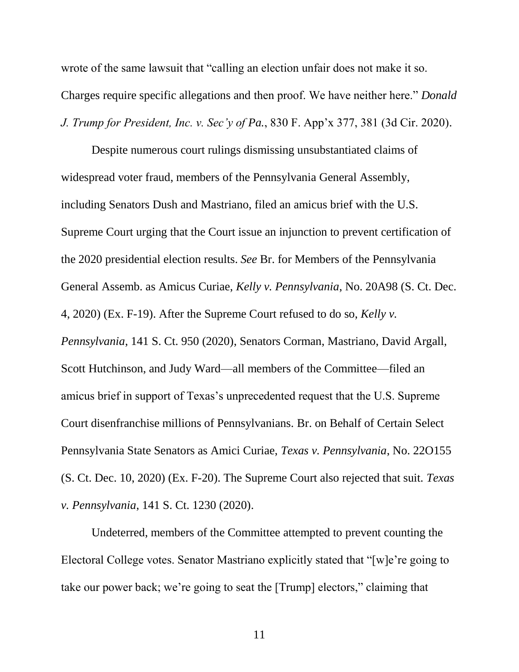wrote of the same lawsuit that "calling an election unfair does not make it so. Charges require specific allegations and then proof. We have neither here." *Donald J. Trump for President, Inc. v. Sec'y of Pa.*, 830 F. App'x 377, 381 (3d Cir. 2020).

Despite numerous court rulings dismissing unsubstantiated claims of widespread voter fraud, members of the Pennsylvania General Assembly, including Senators Dush and Mastriano, filed an amicus brief with the U.S. Supreme Court urging that the Court issue an injunction to prevent certification of the 2020 presidential election results. *See* Br. for Members of the Pennsylvania General Assemb. as Amicus Curiae, *Kelly v. Pennsylvania*, No. 20A98 (S. Ct. Dec. 4, 2020) (Ex. F-19). After the Supreme Court refused to do so, *Kelly v. Pennsylvania*, 141 S. Ct. 950 (2020), Senators Corman, Mastriano, David Argall, Scott Hutchinson, and Judy Ward—all members of the Committee—filed an amicus brief in support of Texas's unprecedented request that the U.S. Supreme Court disenfranchise millions of Pennsylvanians. Br. on Behalf of Certain Select Pennsylvania State Senators as Amici Curiae, *Texas v. Pennsylvania*, No. 22O155 (S. Ct. Dec. 10, 2020) (Ex. F-20). The Supreme Court also rejected that suit. *Texas v. Pennsylvania*, 141 S. Ct. 1230 (2020).

Undeterred, members of the Committee attempted to prevent counting the Electoral College votes. Senator Mastriano explicitly stated that "[w]e're going to take our power back; we're going to seat the [Trump] electors," claiming that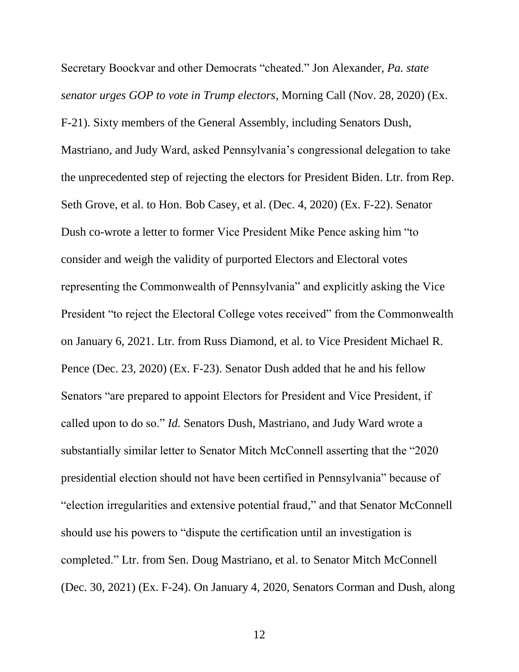Secretary Boockvar and other Democrats "cheated." Jon Alexander, *Pa. state senator urges GOP to vote in Trump electors*, Morning Call (Nov. 28, 2020) (Ex. F-21). Sixty members of the General Assembly, including Senators Dush, Mastriano, and Judy Ward, asked Pennsylvania's congressional delegation to take the unprecedented step of rejecting the electors for President Biden. Ltr. from Rep. Seth Grove, et al. to Hon. Bob Casey, et al. (Dec. 4, 2020) (Ex. F-22). Senator Dush co-wrote a letter to former Vice President Mike Pence asking him "to consider and weigh the validity of purported Electors and Electoral votes representing the Commonwealth of Pennsylvania" and explicitly asking the Vice President "to reject the Electoral College votes received" from the Commonwealth on January 6, 2021. Ltr. from Russ Diamond, et al. to Vice President Michael R. Pence (Dec. 23, 2020) (Ex. F-23). Senator Dush added that he and his fellow Senators "are prepared to appoint Electors for President and Vice President, if called upon to do so." *Id.* Senators Dush, Mastriano, and Judy Ward wrote a substantially similar letter to Senator Mitch McConnell asserting that the "2020 presidential election should not have been certified in Pennsylvania" because of "election irregularities and extensive potential fraud," and that Senator McConnell should use his powers to "dispute the certification until an investigation is completed." Ltr. from Sen. Doug Mastriano, et al. to Senator Mitch McConnell (Dec. 30, 2021) (Ex. F-24). On January 4, 2020, Senators Corman and Dush, along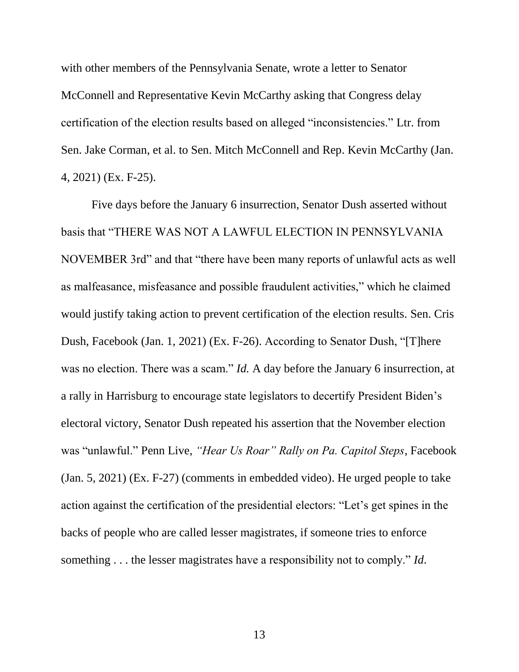with other members of the Pennsylvania Senate, wrote a letter to Senator McConnell and Representative Kevin McCarthy asking that Congress delay certification of the election results based on alleged "inconsistencies." Ltr. from Sen. Jake Corman, et al. to Sen. Mitch McConnell and Rep. Kevin McCarthy (Jan. 4, 2021) (Ex. F-25).

Five days before the January 6 insurrection, Senator Dush asserted without basis that "THERE WAS NOT A LAWFUL ELECTION IN PENNSYLVANIA NOVEMBER 3rd" and that "there have been many reports of unlawful acts as well as malfeasance, misfeasance and possible fraudulent activities," which he claimed would justify taking action to prevent certification of the election results. Sen. Cris Dush, Facebook (Jan. 1, 2021) (Ex. F-26). According to Senator Dush, "[T]here was no election. There was a scam." *Id.* A day before the January 6 insurrection, at a rally in Harrisburg to encourage state legislators to decertify President Biden's electoral victory, Senator Dush repeated his assertion that the November election was "unlawful." Penn Live, *"Hear Us Roar" Rally on Pa. Capitol Steps*, Facebook (Jan. 5, 2021) (Ex. F-27) (comments in embedded video). He urged people to take action against the certification of the presidential electors: "Let's get spines in the backs of people who are called lesser magistrates, if someone tries to enforce something . . . the lesser magistrates have a responsibility not to comply." *Id*.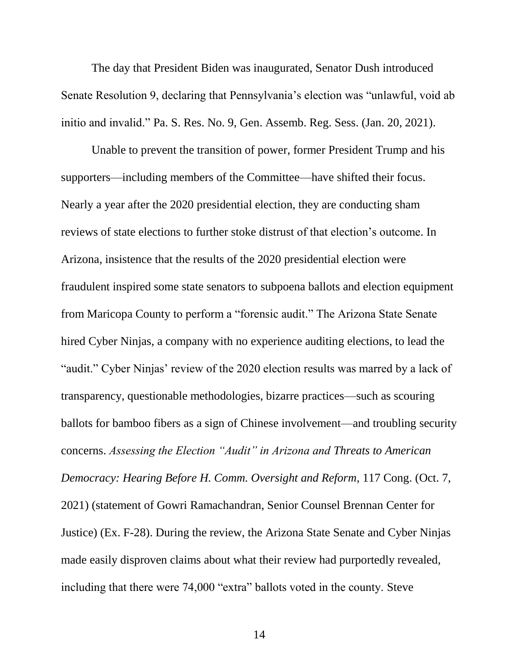The day that President Biden was inaugurated, Senator Dush introduced Senate Resolution 9, declaring that Pennsylvania's election was "unlawful, void ab initio and invalid." Pa. S. Res. No. 9, Gen. Assemb. Reg. Sess. (Jan. 20, 2021).

Unable to prevent the transition of power, former President Trump and his supporters—including members of the Committee—have shifted their focus. Nearly a year after the 2020 presidential election, they are conducting sham reviews of state elections to further stoke distrust of that election's outcome. In Arizona, insistence that the results of the 2020 presidential election were fraudulent inspired some state senators to subpoena ballots and election equipment from Maricopa County to perform a "forensic audit." The Arizona State Senate hired Cyber Ninjas, a company with no experience auditing elections, to lead the "audit." Cyber Ninjas' review of the 2020 election results was marred by a lack of transparency, questionable methodologies, bizarre practices—such as scouring ballots for bamboo fibers as a sign of Chinese involvement—and troubling security concerns. *Assessing the Election "Audit" in Arizona and Threats to American Democracy: Hearing Before H. Comm. Oversight and Reform*, 117 Cong. (Oct. 7, 2021) (statement of Gowri Ramachandran, Senior Counsel Brennan Center for Justice) (Ex. F-28). During the review, the Arizona State Senate and Cyber Ninjas made easily disproven claims about what their review had purportedly revealed, including that there were 74,000 "extra" ballots voted in the county. Steve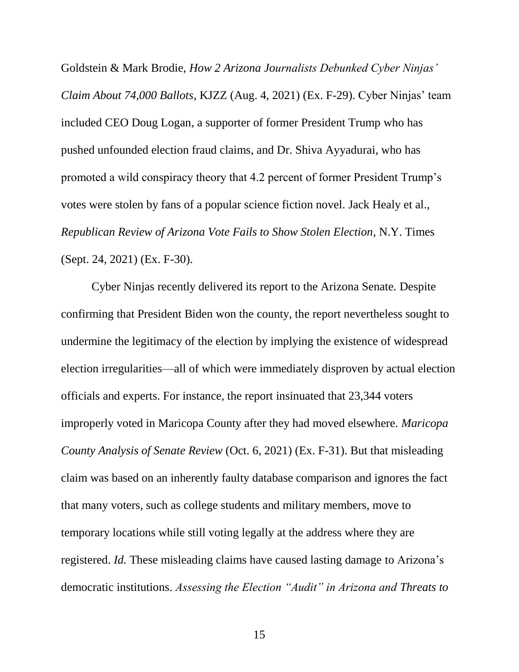Goldstein & Mark Brodie, *How 2 Arizona Journalists Debunked Cyber Ninjas' Claim About 74,000 Ballots*, KJZZ (Aug. 4, 2021) (Ex. F-29). Cyber Ninjas' team included CEO Doug Logan, a supporter of former President Trump who has pushed unfounded election fraud claims, and Dr. Shiva Ayyadurai, who has promoted a wild conspiracy theory that 4.2 percent of former President Trump's votes were stolen by fans of a popular science fiction novel. Jack Healy et al., *Republican Review of Arizona Vote Fails to Show Stolen Election*, N.Y. Times (Sept. 24, 2021) (Ex. F-30).

Cyber Ninjas recently delivered its report to the Arizona Senate. Despite confirming that President Biden won the county, the report nevertheless sought to undermine the legitimacy of the election by implying the existence of widespread election irregularities—all of which were immediately disproven by actual election officials and experts. For instance, the report insinuated that 23,344 voters improperly voted in Maricopa County after they had moved elsewhere. *Maricopa County Analysis of Senate Review* (Oct. 6, 2021) (Ex. F-31). But that misleading claim was based on an inherently faulty database comparison and ignores the fact that many voters, such as college students and military members, move to temporary locations while still voting legally at the address where they are registered. *Id.* These misleading claims have caused lasting damage to Arizona's democratic institutions. *Assessing the Election "Audit" in Arizona and Threats to*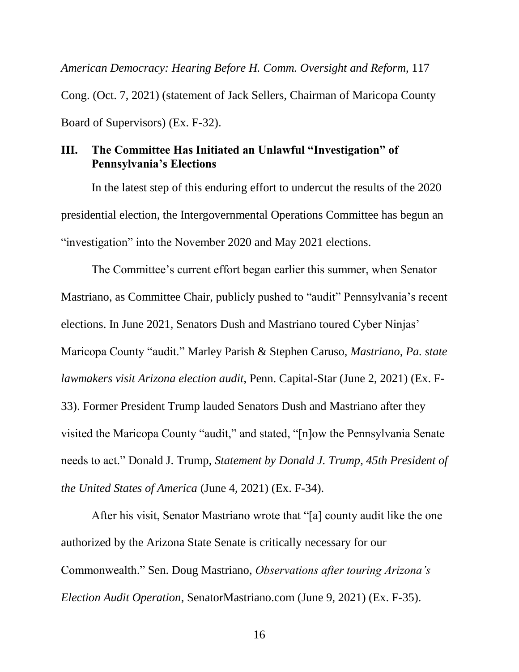*American Democracy: Hearing Before H. Comm. Oversight and Reform*, 117 Cong. (Oct. 7, 2021) (statement of Jack Sellers, Chairman of Maricopa County Board of Supervisors) (Ex. F-32).

### <span id="page-22-0"></span>**III. The Committee Has Initiated an Unlawful "Investigation" of Pennsylvania's Elections**

In the latest step of this enduring effort to undercut the results of the 2020 presidential election, the Intergovernmental Operations Committee has begun an "investigation" into the November 2020 and May 2021 elections.

The Committee's current effort began earlier this summer, when Senator Mastriano, as Committee Chair, publicly pushed to "audit" Pennsylvania's recent elections. In June 2021, Senators Dush and Mastriano toured Cyber Ninjas' Maricopa County "audit." Marley Parish & Stephen Caruso, *Mastriano, Pa. state lawmakers visit Arizona election audit*, Penn. Capital-Star (June 2, 2021) (Ex. F-33). Former President Trump lauded Senators Dush and Mastriano after they visited the Maricopa County "audit," and stated, "[n]ow the Pennsylvania Senate needs to act." Donald J. Trump, *Statement by Donald J. Trump, 45th President of the United States of America* (June 4, 2021) (Ex. F-34).

After his visit, Senator Mastriano wrote that "[a] county audit like the one authorized by the Arizona State Senate is critically necessary for our Commonwealth." Sen. Doug Mastriano, *Observations after touring Arizona's Election Audit Operation*, SenatorMastriano.com (June 9, 2021) (Ex. F-35).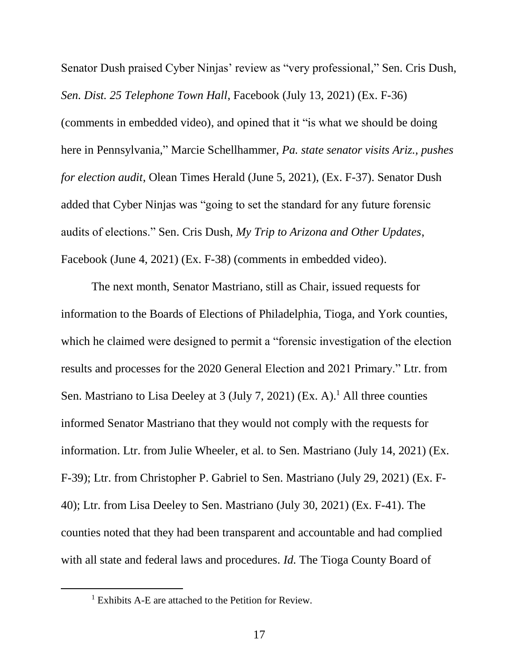Senator Dush praised Cyber Ninjas' review as "very professional," Sen. Cris Dush, *Sen. Dist. 25 Telephone Town Hall*, Facebook (July 13, 2021) (Ex. F-36) (comments in embedded video), and opined that it "is what we should be doing here in Pennsylvania," Marcie Schellhammer, *Pa. state senator visits Ariz., pushes for election audit*, Olean Times Herald (June 5, 2021), (Ex. F-37). Senator Dush added that Cyber Ninjas was "going to set the standard for any future forensic audits of elections." Sen. Cris Dush, *My Trip to Arizona and Other Updates*, Facebook (June 4, 2021) (Ex. F-38) (comments in embedded video).

The next month, Senator Mastriano, still as Chair, issued requests for information to the Boards of Elections of Philadelphia, Tioga, and York counties, which he claimed were designed to permit a "forensic investigation of the election results and processes for the 2020 General Election and 2021 Primary." Ltr. from Sen. Mastriano to Lisa Deeley at 3 (July 7, 2021) (Ex. A).<sup>1</sup> All three counties informed Senator Mastriano that they would not comply with the requests for information. Ltr. from Julie Wheeler, et al. to Sen. Mastriano (July 14, 2021) (Ex. F-39); Ltr. from Christopher P. Gabriel to Sen. Mastriano (July 29, 2021) (Ex. F-40); Ltr. from Lisa Deeley to Sen. Mastriano (July 30, 2021) (Ex. F-41). The counties noted that they had been transparent and accountable and had complied with all state and federal laws and procedures. *Id.* The Tioga County Board of

 $\overline{a}$ 

 $1$  Exhibits A-E are attached to the Petition for Review.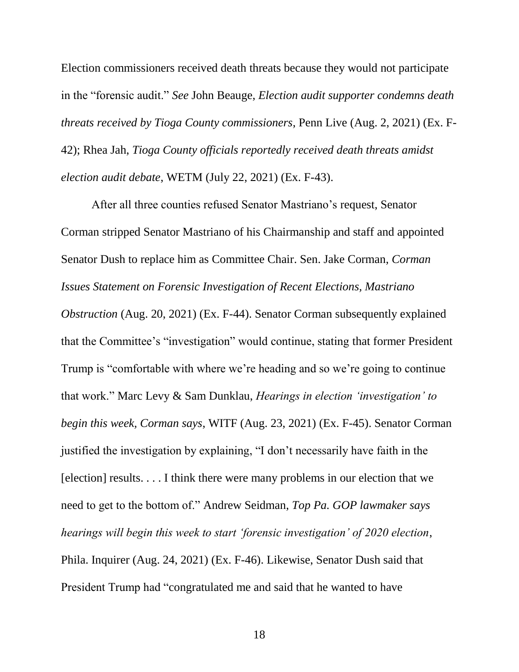Election commissioners received death threats because they would not participate in the "forensic audit." *See* John Beauge, *Election audit supporter condemns death threats received by Tioga County commissioners*, Penn Live (Aug. 2, 2021) (Ex. F-42); Rhea Jah, *Tioga County officials reportedly received death threats amidst election audit debate*, WETM (July 22, 2021) (Ex. F-43).

After all three counties refused Senator Mastriano's request, Senator Corman stripped Senator Mastriano of his Chairmanship and staff and appointed Senator Dush to replace him as Committee Chair. Sen. Jake Corman, *Corman Issues Statement on Forensic Investigation of Recent Elections, Mastriano Obstruction* (Aug. 20, 2021) (Ex. F-44). Senator Corman subsequently explained that the Committee's "investigation" would continue, stating that former President Trump is "comfortable with where we're heading and so we're going to continue that work." Marc Levy & Sam Dunklau, *Hearings in election 'investigation' to begin this week, Corman says*, WITF (Aug. 23, 2021) (Ex. F-45). Senator Corman justified the investigation by explaining, "I don't necessarily have faith in the [election] results. . . . I think there were many problems in our election that we need to get to the bottom of." Andrew Seidman, *Top Pa. GOP lawmaker says hearings will begin this week to start 'forensic investigation' of 2020 election*, Phila. Inquirer (Aug. 24, 2021) (Ex. F-46). Likewise, Senator Dush said that President Trump had "congratulated me and said that he wanted to have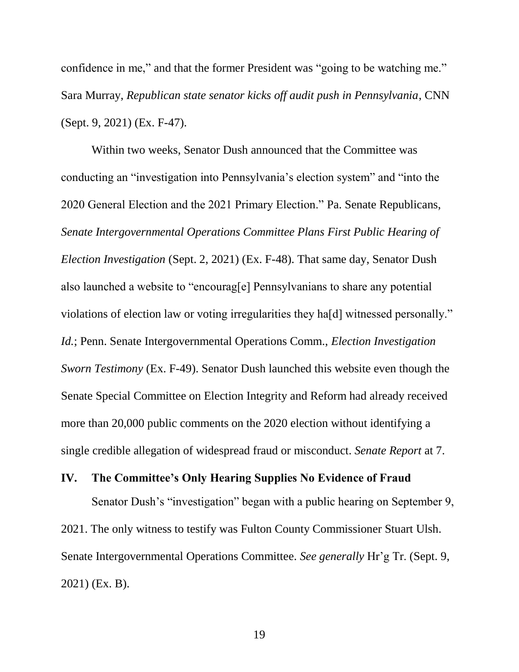confidence in me," and that the former President was "going to be watching me." Sara Murray, *Republican state senator kicks off audit push in Pennsylvania*, CNN (Sept. 9, 2021) (Ex. F-47).

Within two weeks, Senator Dush announced that the Committee was conducting an "investigation into Pennsylvania's election system" and "into the 2020 General Election and the 2021 Primary Election." Pa. Senate Republicans, *Senate Intergovernmental Operations Committee Plans First Public Hearing of Election Investigation* (Sept. 2, 2021) (Ex. F-48). That same day, Senator Dush also launched a website to "encourag[e] Pennsylvanians to share any potential violations of election law or voting irregularities they ha[d] witnessed personally." *Id.*; Penn. Senate Intergovernmental Operations Comm., *Election Investigation Sworn Testimony* (Ex. F-49). Senator Dush launched this website even though the Senate Special Committee on Election Integrity and Reform had already received more than 20,000 public comments on the 2020 election without identifying a single credible allegation of widespread fraud or misconduct. *Senate Report* at 7.

### <span id="page-25-0"></span>**IV. The Committee's Only Hearing Supplies No Evidence of Fraud**

Senator Dush's "investigation" began with a public hearing on September 9, 2021. The only witness to testify was Fulton County Commissioner Stuart Ulsh. Senate Intergovernmental Operations Committee. *See generally* Hr'g Tr. (Sept. 9, 2021) (Ex. B).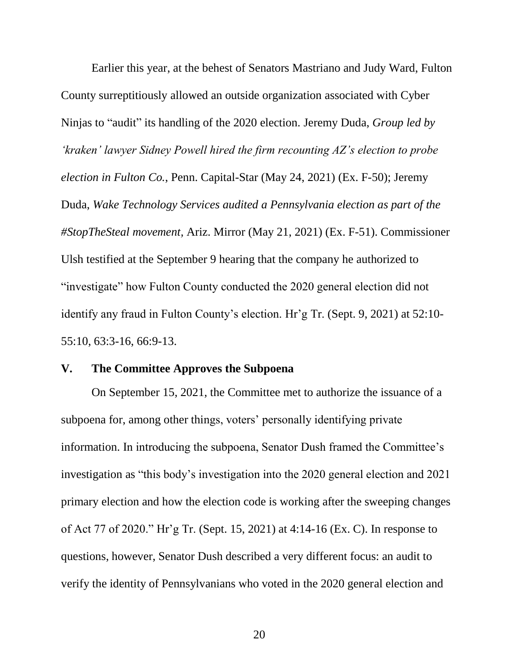Earlier this year, at the behest of Senators Mastriano and Judy Ward, Fulton County surreptitiously allowed an outside organization associated with Cyber Ninjas to "audit" its handling of the 2020 election. Jeremy Duda, *Group led by 'kraken' lawyer Sidney Powell hired the firm recounting AZ's election to probe election in Fulton Co.*, Penn. Capital-Star (May 24, 2021) (Ex. F-50); Jeremy Duda, *Wake Technology Services audited a Pennsylvania election as part of the #StopTheSteal movement,* Ariz. Mirror (May 21, 2021) (Ex. F-51). Commissioner Ulsh testified at the September 9 hearing that the company he authorized to "investigate" how Fulton County conducted the 2020 general election did not identify any fraud in Fulton County's election. Hr'g Tr. (Sept. 9, 2021) at 52:10- 55:10, 63:3-16, 66:9-13.

### <span id="page-26-0"></span>**V. The Committee Approves the Subpoena**

On September 15, 2021, the Committee met to authorize the issuance of a subpoena for, among other things, voters' personally identifying private information. In introducing the subpoena, Senator Dush framed the Committee's investigation as "this body's investigation into the 2020 general election and 2021 primary election and how the election code is working after the sweeping changes of Act 77 of 2020." Hr'g Tr. (Sept. 15, 2021) at 4:14-16 (Ex. C). In response to questions, however, Senator Dush described a very different focus: an audit to verify the identity of Pennsylvanians who voted in the 2020 general election and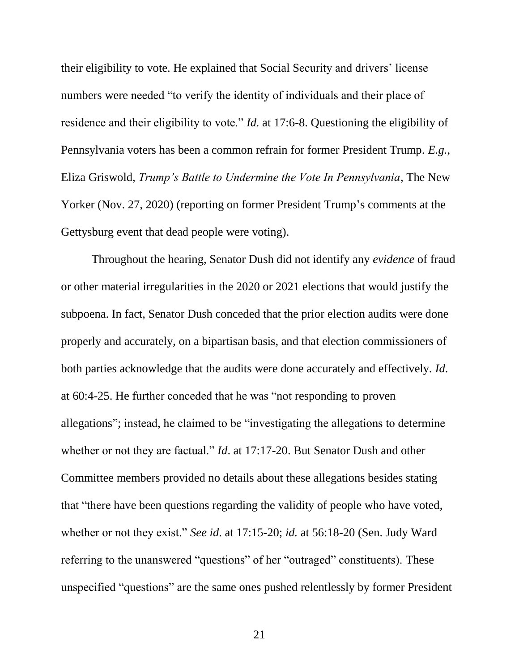their eligibility to vote. He explained that Social Security and drivers' license numbers were needed "to verify the identity of individuals and their place of residence and their eligibility to vote." *Id.* at 17:6-8. Questioning the eligibility of Pennsylvania voters has been a common refrain for former President Trump. *E.g.*, Eliza Griswold, *Trump's Battle to Undermine the Vote In Pennsylvania*, The New Yorker (Nov. 27, 2020) (reporting on former President Trump's comments at the Gettysburg event that dead people were voting).

Throughout the hearing, Senator Dush did not identify any *evidence* of fraud or other material irregularities in the 2020 or 2021 elections that would justify the subpoena. In fact, Senator Dush conceded that the prior election audits were done properly and accurately, on a bipartisan basis, and that election commissioners of both parties acknowledge that the audits were done accurately and effectively. *Id*. at 60:4-25. He further conceded that he was "not responding to proven allegations"; instead, he claimed to be "investigating the allegations to determine whether or not they are factual." *Id*. at 17:17-20. But Senator Dush and other Committee members provided no details about these allegations besides stating that "there have been questions regarding the validity of people who have voted, whether or not they exist." *See id*. at 17:15-20; *id.* at 56:18-20 (Sen. Judy Ward referring to the unanswered "questions" of her "outraged" constituents). These unspecified "questions" are the same ones pushed relentlessly by former President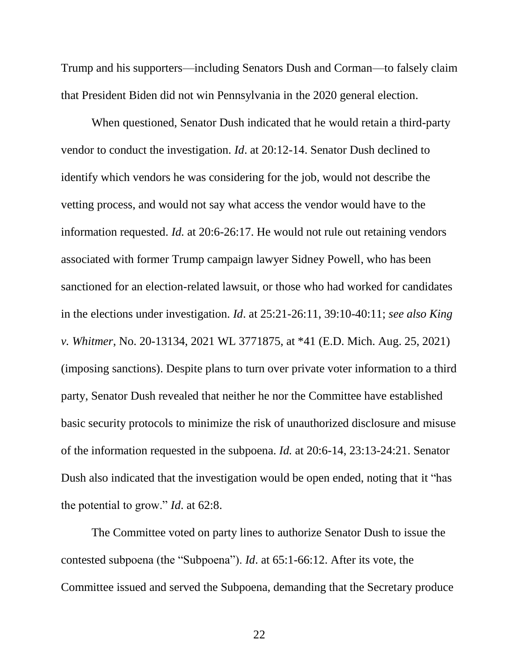Trump and his supporters—including Senators Dush and Corman—to falsely claim that President Biden did not win Pennsylvania in the 2020 general election.

When questioned, Senator Dush indicated that he would retain a third-party vendor to conduct the investigation. *Id*. at 20:12-14. Senator Dush declined to identify which vendors he was considering for the job, would not describe the vetting process, and would not say what access the vendor would have to the information requested. *Id.* at 20:6-26:17. He would not rule out retaining vendors associated with former Trump campaign lawyer Sidney Powell, who has been sanctioned for an election-related lawsuit, or those who had worked for candidates in the elections under investigation. *Id*. at 25:21-26:11, 39:10-40:11; *see also King v. Whitmer*, No. 20-13134, 2021 WL 3771875, at \*41 (E.D. Mich. Aug. 25, 2021) (imposing sanctions). Despite plans to turn over private voter information to a third party, Senator Dush revealed that neither he nor the Committee have established basic security protocols to minimize the risk of unauthorized disclosure and misuse of the information requested in the subpoena. *Id.* at 20:6-14, 23:13-24:21. Senator Dush also indicated that the investigation would be open ended, noting that it "has the potential to grow." *Id*. at 62:8.

The Committee voted on party lines to authorize Senator Dush to issue the contested subpoena (the "Subpoena"). *Id*. at 65:1-66:12. After its vote, the Committee issued and served the Subpoena, demanding that the Secretary produce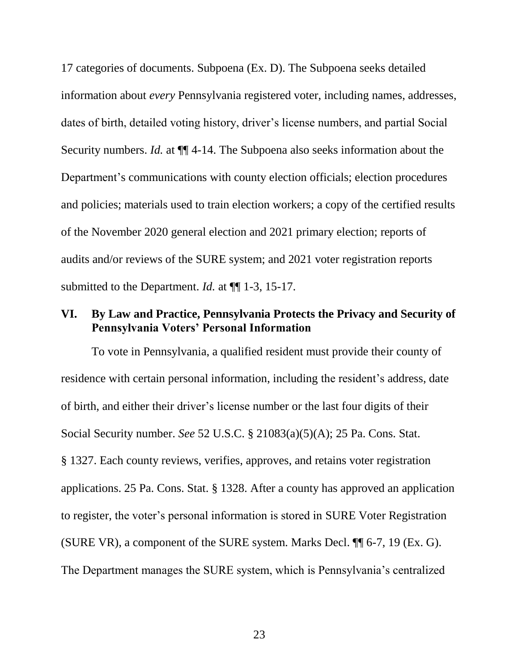17 categories of documents. Subpoena (Ex. D). The Subpoena seeks detailed information about *every* Pennsylvania registered voter, including names, addresses, dates of birth, detailed voting history, driver's license numbers, and partial Social Security numbers. *Id.* at ¶¶ 4-14. The Subpoena also seeks information about the Department's communications with county election officials; election procedures and policies; materials used to train election workers; a copy of the certified results of the November 2020 general election and 2021 primary election; reports of audits and/or reviews of the SURE system; and 2021 voter registration reports submitted to the Department. *Id.* at ¶¶ 1-3, 15-17.

### <span id="page-29-0"></span>**VI. By Law and Practice, Pennsylvania Protects the Privacy and Security of Pennsylvania Voters' Personal Information**

To vote in Pennsylvania, a qualified resident must provide their county of residence with certain personal information, including the resident's address, date of birth, and either their driver's license number or the last four digits of their Social Security number. *See* 52 U.S.C. § 21083(a)(5)(A); 25 Pa. Cons. Stat. § 1327. Each county reviews, verifies, approves, and retains voter registration applications. 25 Pa. Cons. Stat. § 1328. After a county has approved an application to register, the voter's personal information is stored in SURE Voter Registration (SURE VR), a component of the SURE system. Marks Decl. ¶¶ 6-7, 19 (Ex. G). The Department manages the SURE system, which is Pennsylvania's centralized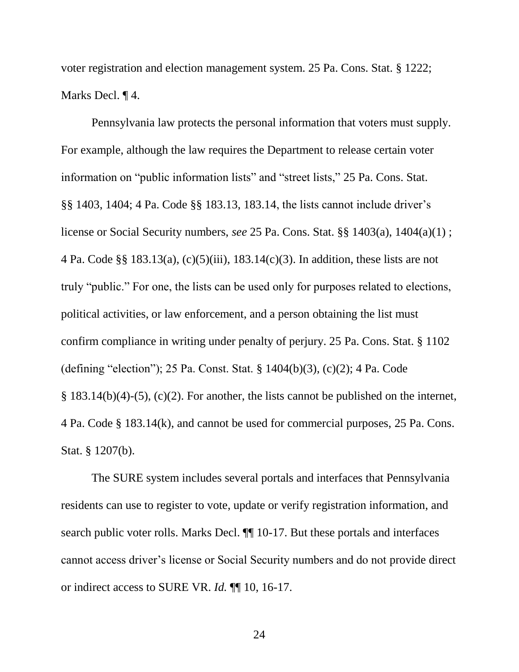voter registration and election management system. 25 Pa. Cons. Stat. § 1222; Marks Decl. ¶ 4.

Pennsylvania law protects the personal information that voters must supply. For example, although the law requires the Department to release certain voter information on "public information lists" and "street lists," 25 Pa. Cons. Stat. §§ 1403, 1404; 4 Pa. Code §§ 183.13, 183.14, the lists cannot include driver's license or Social Security numbers, *see* 25 Pa. Cons. Stat. §§ 1403(a), 1404(a)(1) ; 4 Pa. Code §§ 183.13(a), (c)(5)(iii), 183.14(c)(3). In addition, these lists are not truly "public." For one, the lists can be used only for purposes related to elections, political activities, or law enforcement, and a person obtaining the list must confirm compliance in writing under penalty of perjury. 25 Pa. Cons. Stat. § 1102 (defining "election"); 25 Pa. Const. Stat. § 1404(b)(3), (c)(2); 4 Pa. Code  $§$  183.14(b)(4)-(5), (c)(2). For another, the lists cannot be published on the internet, 4 Pa. Code § 183.14(k), and cannot be used for commercial purposes, 25 Pa. Cons. Stat. § 1207(b).

The SURE system includes several portals and interfaces that Pennsylvania residents can use to register to vote, update or verify registration information, and search public voter rolls. Marks Decl. ¶¶ 10-17. But these portals and interfaces cannot access driver's license or Social Security numbers and do not provide direct or indirect access to SURE VR. *Id.* ¶¶ 10, 16-17.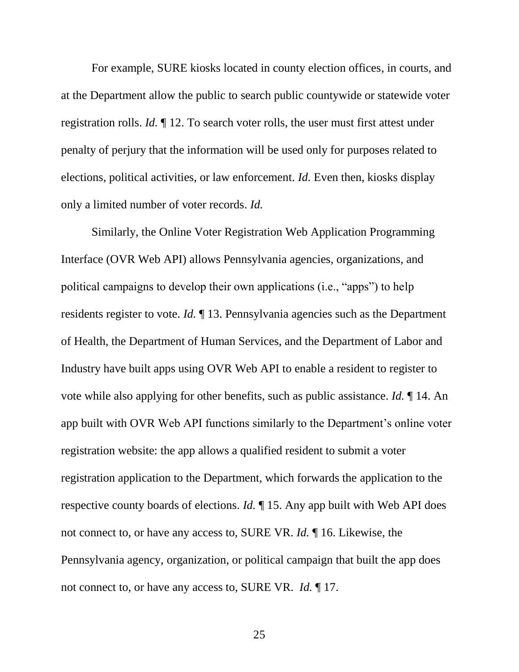For example, SURE kiosks located in county election offices, in courts, and at the Department allow the public to search public countywide or statewide voter registration rolls. *Id.* ¶ 12. To search voter rolls, the user must first attest under penalty of perjury that the information will be used only for purposes related to elections, political activities, or law enforcement. *Id.* Even then, kiosks display only a limited number of voter records. *Id.*

Similarly, the Online Voter Registration Web Application Programming Interface (OVR Web API) allows Pennsylvania agencies, organizations, and political campaigns to develop their own applications (i.e., "apps") to help residents register to vote. *Id.* ¶ 13. Pennsylvania agencies such as the Department of Health, the Department of Human Services, and the Department of Labor and Industry have built apps using OVR Web API to enable a resident to register to vote while also applying for other benefits, such as public assistance. *Id.* ¶ 14. An app built with OVR Web API functions similarly to the Department's online voter registration website: the app allows a qualified resident to submit a voter registration application to the Department, which forwards the application to the respective county boards of elections. *Id.* ¶ 15. Any app built with Web API does not connect to, or have any access to, SURE VR. *Id.* ¶ 16. Likewise, the Pennsylvania agency, organization, or political campaign that built the app does not connect to, or have any access to, SURE VR. *Id.* ¶ 17.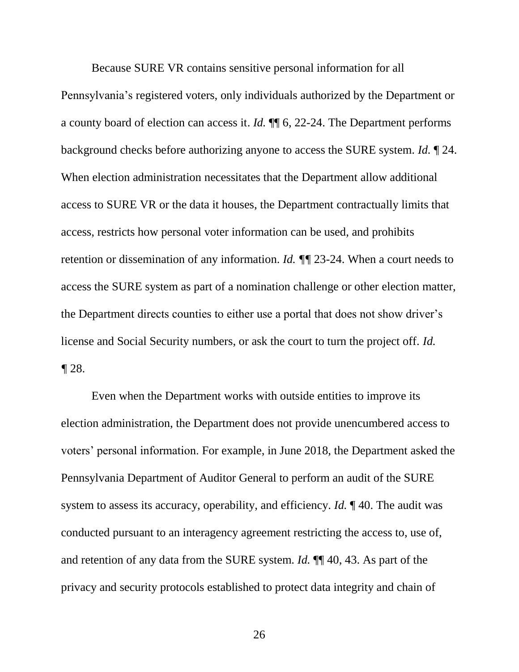Because SURE VR contains sensitive personal information for all Pennsylvania's registered voters, only individuals authorized by the Department or a county board of election can access it. *Id.* ¶¶ 6, 22-24. The Department performs background checks before authorizing anyone to access the SURE system. *Id.* ¶ 24. When election administration necessitates that the Department allow additional access to SURE VR or the data it houses, the Department contractually limits that access, restricts how personal voter information can be used, and prohibits retention or dissemination of any information. *Id. ¶¶* 23-24. When a court needs to access the SURE system as part of a nomination challenge or other election matter, the Department directs counties to either use a portal that does not show driver's license and Social Security numbers, or ask the court to turn the project off. *Id. ¶* 28.

Even when the Department works with outside entities to improve its election administration, the Department does not provide unencumbered access to voters' personal information. For example, in June 2018, the Department asked the Pennsylvania Department of Auditor General to perform an audit of the SURE system to assess its accuracy, operability, and efficiency. *Id.* ¶ 40. The audit was conducted pursuant to an interagency agreement restricting the access to, use of, and retention of any data from the SURE system. *Id.* ¶¶ 40, 43. As part of the privacy and security protocols established to protect data integrity and chain of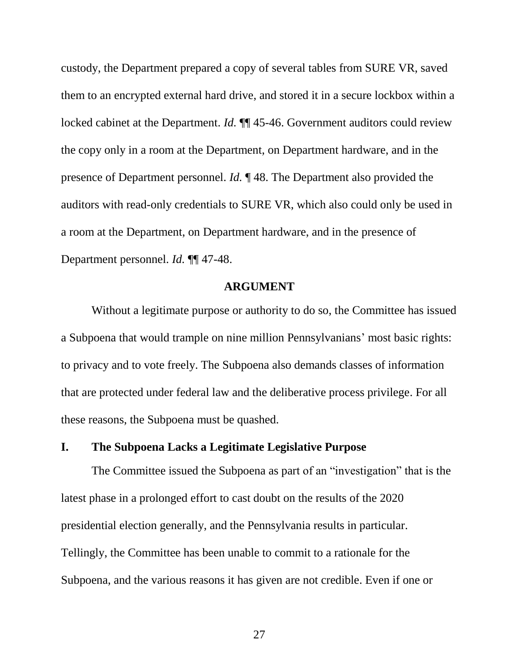custody, the Department prepared a copy of several tables from SURE VR, saved them to an encrypted external hard drive, and stored it in a secure lockbox within a locked cabinet at the Department. *Id.*  $\P$  45-46. Government auditors could review the copy only in a room at the Department, on Department hardware, and in the presence of Department personnel. *Id.* ¶ 48. The Department also provided the auditors with read-only credentials to SURE VR, which also could only be used in a room at the Department, on Department hardware, and in the presence of Department personnel. *Id.* ¶¶ 47-48.

### **ARGUMENT**

<span id="page-33-0"></span>Without a legitimate purpose or authority to do so, the Committee has issued a Subpoena that would trample on nine million Pennsylvanians' most basic rights: to privacy and to vote freely. The Subpoena also demands classes of information that are protected under federal law and the deliberative process privilege. For all these reasons, the Subpoena must be quashed.

### <span id="page-33-1"></span>**I. The Subpoena Lacks a Legitimate Legislative Purpose**

The Committee issued the Subpoena as part of an "investigation" that is the latest phase in a prolonged effort to cast doubt on the results of the 2020 presidential election generally, and the Pennsylvania results in particular. Tellingly, the Committee has been unable to commit to a rationale for the Subpoena, and the various reasons it has given are not credible. Even if one or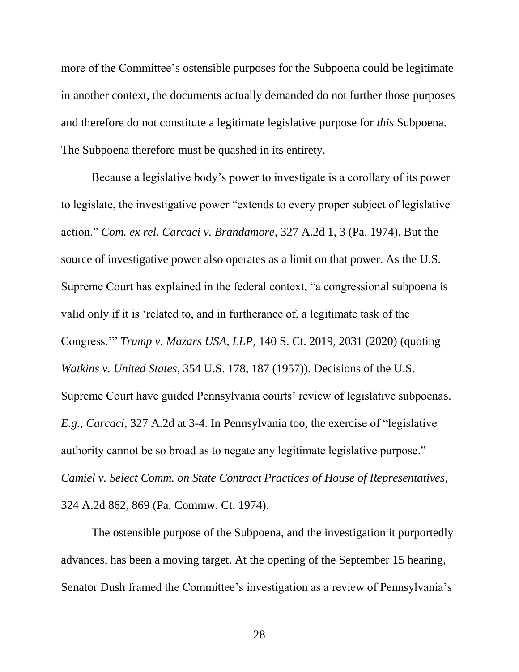more of the Committee's ostensible purposes for the Subpoena could be legitimate in another context, the documents actually demanded do not further those purposes and therefore do not constitute a legitimate legislative purpose for *this* Subpoena. The Subpoena therefore must be quashed in its entirety.

Because a legislative body's power to investigate is a corollary of its power to legislate, the investigative power "extends to every proper subject of legislative action." *Com. ex rel. Carcaci v. Brandamore*, 327 A.2d 1, 3 (Pa. 1974). But the source of investigative power also operates as a limit on that power. As the U.S. Supreme Court has explained in the federal context, "a congressional subpoena is valid only if it is 'related to, and in furtherance of, a legitimate task of the Congress.'" *Trump v. Mazars USA, LLP*, 140 S. Ct. 2019, 2031 (2020) (quoting *Watkins v. United States*, 354 U.S. 178, 187 (1957)). Decisions of the U.S. Supreme Court have guided Pennsylvania courts' review of legislative subpoenas. *E.g.*, *Carcaci*, 327 A.2d at 3-4. In Pennsylvania too, the exercise of "legislative authority cannot be so broad as to negate any legitimate legislative purpose." *Camiel v. Select Comm. on State Contract Practices of House of Representatives*, 324 A.2d 862, 869 (Pa. Commw. Ct. 1974).

The ostensible purpose of the Subpoena, and the investigation it purportedly advances, has been a moving target. At the opening of the September 15 hearing, Senator Dush framed the Committee's investigation as a review of Pennsylvania's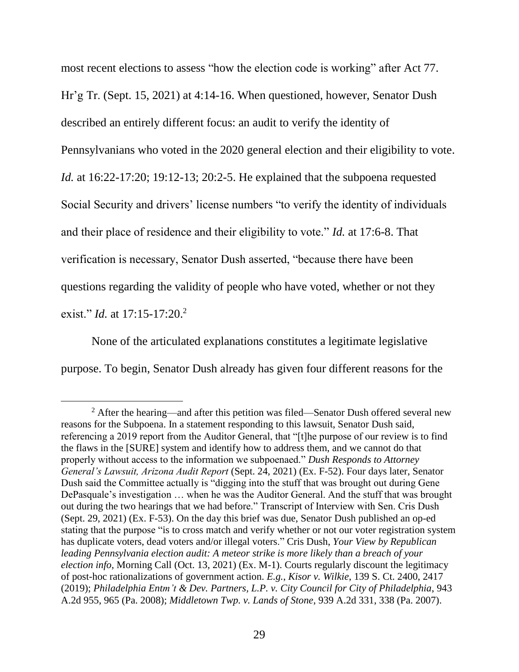most recent elections to assess "how the election code is working" after Act 77. Hr'g Tr. (Sept. 15, 2021) at 4:14-16. When questioned, however, Senator Dush described an entirely different focus: an audit to verify the identity of Pennsylvanians who voted in the 2020 general election and their eligibility to vote. *Id.* at 16:22-17:20; 19:12-13; 20:2-5. He explained that the subpoena requested Social Security and drivers' license numbers "to verify the identity of individuals and their place of residence and their eligibility to vote." *Id.* at 17:6-8. That verification is necessary, Senator Dush asserted, "because there have been questions regarding the validity of people who have voted, whether or not they exist." *Id.* at 17:15-17:20. 2

None of the articulated explanations constitutes a legitimate legislative purpose. To begin, Senator Dush already has given four different reasons for the

 $\overline{a}$ 

 $2$  After the hearing—and after this petition was filed—Senator Dush offered several new reasons for the Subpoena. In a statement responding to this lawsuit, Senator Dush said, referencing a 2019 report from the Auditor General, that "[t]he purpose of our review is to find the flaws in the [SURE] system and identify how to address them, and we cannot do that properly without access to the information we subpoenaed." *Dush Responds to Attorney General's Lawsuit, Arizona Audit Report* (Sept. 24, 2021) (Ex. F-52). Four days later, Senator Dush said the Committee actually is "digging into the stuff that was brought out during Gene DePasquale's investigation … when he was the Auditor General. And the stuff that was brought out during the two hearings that we had before." Transcript of Interview with Sen. Cris Dush (Sept. 29, 2021) (Ex. F-53). On the day this brief was due, Senator Dush published an op-ed stating that the purpose "is to cross match and verify whether or not our voter registration system has duplicate voters, dead voters and/or illegal voters." Cris Dush, *Your View by Republican leading Pennsylvania election audit: A meteor strike is more likely than a breach of your election info*, Morning Call (Oct. 13, 2021) (Ex. M-1). Courts regularly discount the legitimacy of post-hoc rationalizations of government action. *E.g.*, *Kisor v. Wilkie*, 139 S. Ct. 2400, 2417 (2019); *Philadelphia Entm't & Dev. Partners, L.P. v. City Council for City of Philadelphia*, 943 A.2d 955, 965 (Pa. 2008); *Middletown Twp. v. Lands of Stone*, 939 A.2d 331, 338 (Pa. 2007).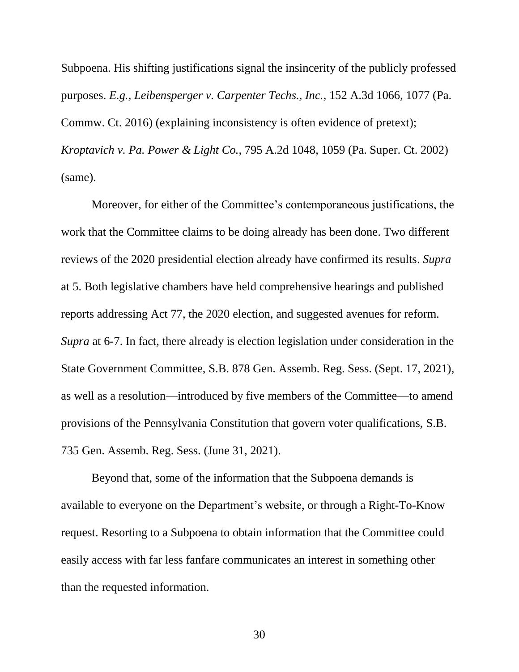Subpoena. His shifting justifications signal the insincerity of the publicly professed purposes. *E.g., Leibensperger v. Carpenter Techs., Inc.*, 152 A.3d 1066, 1077 (Pa. Commw. Ct. 2016) (explaining inconsistency is often evidence of pretext); *Kroptavich v. Pa. Power & Light Co.*, 795 A.2d 1048, 1059 (Pa. Super. Ct. 2002) (same).

Moreover, for either of the Committee's contemporaneous justifications, the work that the Committee claims to be doing already has been done. Two different reviews of the 2020 presidential election already have confirmed its results. *Supra*  at 5. Both legislative chambers have held comprehensive hearings and published reports addressing Act 77, the 2020 election, and suggested avenues for reform. *Supra* at 6-7. In fact, there already is election legislation under consideration in the State Government Committee, S.B. 878 Gen. Assemb. Reg. Sess. (Sept. 17, 2021), as well as a resolution—introduced by five members of the Committee—to amend provisions of the Pennsylvania Constitution that govern voter qualifications, S.B. 735 Gen. Assemb. Reg. Sess. (June 31, 2021).

Beyond that, some of the information that the Subpoena demands is available to everyone on the Department's website, or through a Right-To-Know request. Resorting to a Subpoena to obtain information that the Committee could easily access with far less fanfare communicates an interest in something other than the requested information.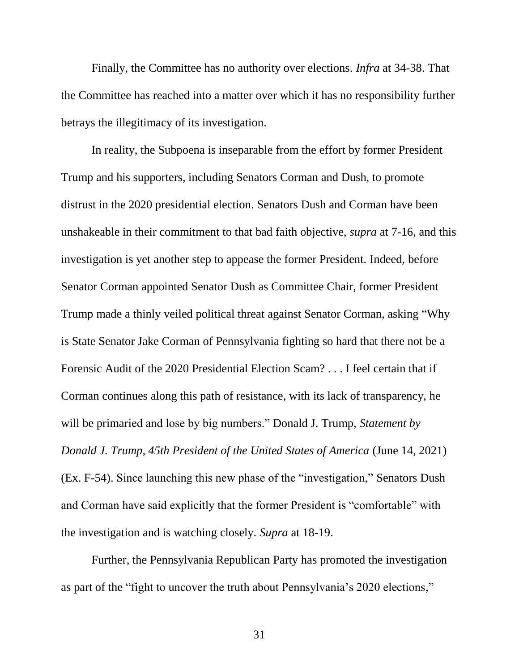Finally, the Committee has no authority over elections. *Infra* at 34-38. That the Committee has reached into a matter over which it has no responsibility further betrays the illegitimacy of its investigation.

In reality, the Subpoena is inseparable from the effort by former President Trump and his supporters, including Senators Corman and Dush, to promote distrust in the 2020 presidential election. Senators Dush and Corman have been unshakeable in their commitment to that bad faith objective, *supra* at 7-16, and this investigation is yet another step to appease the former President. Indeed, before Senator Corman appointed Senator Dush as Committee Chair, former President Trump made a thinly veiled political threat against Senator Corman, asking "Why is State Senator Jake Corman of Pennsylvania fighting so hard that there not be a Forensic Audit of the 2020 Presidential Election Scam? . . . I feel certain that if Corman continues along this path of resistance, with its lack of transparency, he will be primaried and lose by big numbers." Donald J. Trump, *Statement by Donald J. Trump, 45th President of the United States of America* (June 14, 2021) (Ex. F-54). Since launching this new phase of the "investigation," Senators Dush and Corman have said explicitly that the former President is "comfortable" with the investigation and is watching closely. *Supra* at 18-19.

Further, the Pennsylvania Republican Party has promoted the investigation as part of the "fight to uncover the truth about Pennsylvania's 2020 elections,"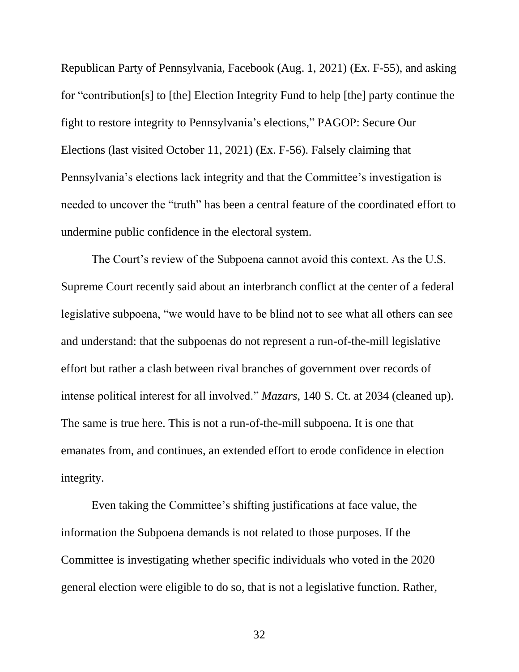Republican Party of Pennsylvania, Facebook (Aug. 1, 2021) (Ex. F-55), and asking for "contribution[s] to [the] Election Integrity Fund to help [the] party continue the fight to restore integrity to Pennsylvania's elections," PAGOP: Secure Our Elections (last visited October 11, 2021) (Ex. F-56). Falsely claiming that Pennsylvania's elections lack integrity and that the Committee's investigation is needed to uncover the "truth" has been a central feature of the coordinated effort to undermine public confidence in the electoral system.

The Court's review of the Subpoena cannot avoid this context. As the U.S. Supreme Court recently said about an interbranch conflict at the center of a federal legislative subpoena, "we would have to be blind not to see what all others can see and understand: that the subpoenas do not represent a run-of-the-mill legislative effort but rather a clash between rival branches of government over records of intense political interest for all involved." *Mazars*, 140 S. Ct. at 2034 (cleaned up). The same is true here. This is not a run-of-the-mill subpoena. It is one that emanates from, and continues, an extended effort to erode confidence in election integrity.

Even taking the Committee's shifting justifications at face value, the information the Subpoena demands is not related to those purposes. If the Committee is investigating whether specific individuals who voted in the 2020 general election were eligible to do so, that is not a legislative function. Rather,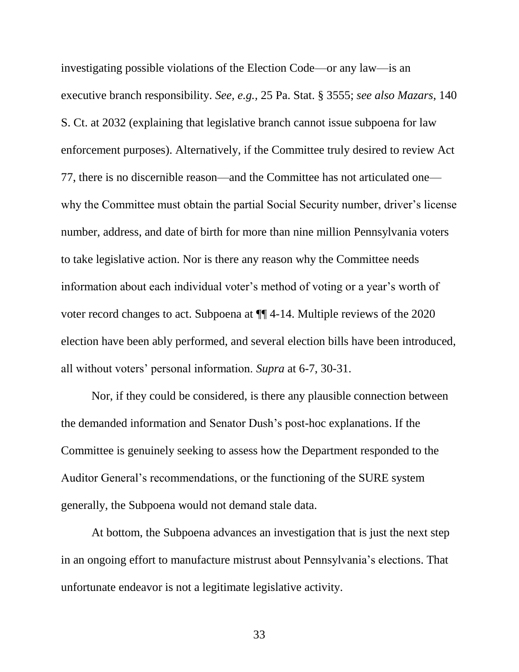investigating possible violations of the Election Code—or any law—is an executive branch responsibility. *See, e.g.,* 25 Pa. Stat. § 3555; *see also Mazars*, 140 S. Ct. at 2032 (explaining that legislative branch cannot issue subpoena for law enforcement purposes). Alternatively, if the Committee truly desired to review Act 77, there is no discernible reason—and the Committee has not articulated one why the Committee must obtain the partial Social Security number, driver's license number, address, and date of birth for more than nine million Pennsylvania voters to take legislative action. Nor is there any reason why the Committee needs information about each individual voter's method of voting or a year's worth of voter record changes to act. Subpoena at ¶¶ 4-14. Multiple reviews of the 2020 election have been ably performed, and several election bills have been introduced, all without voters' personal information. *Supra* at 6-7, 30-31.

Nor, if they could be considered, is there any plausible connection between the demanded information and Senator Dush's post-hoc explanations. If the Committee is genuinely seeking to assess how the Department responded to the Auditor General's recommendations, or the functioning of the SURE system generally, the Subpoena would not demand stale data.

At bottom, the Subpoena advances an investigation that is just the next step in an ongoing effort to manufacture mistrust about Pennsylvania's elections. That unfortunate endeavor is not a legitimate legislative activity.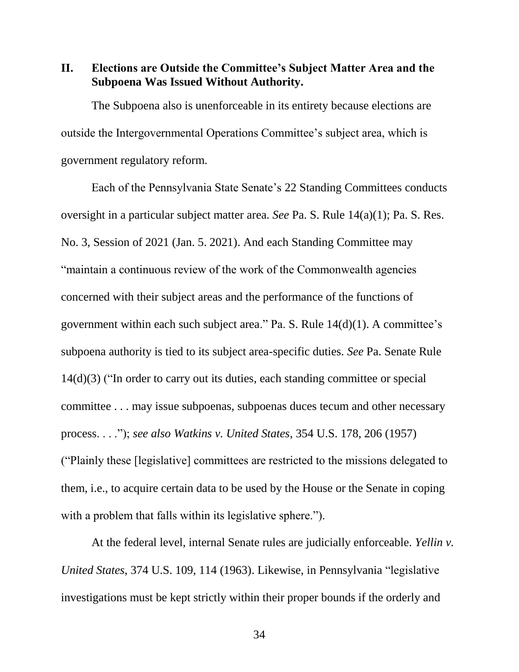<span id="page-40-0"></span>**II. Elections are Outside the Committee's Subject Matter Area and the Subpoena Was Issued Without Authority.**

The Subpoena also is unenforceable in its entirety because elections are outside the Intergovernmental Operations Committee's subject area, which is government regulatory reform.

Each of the Pennsylvania State Senate's 22 Standing Committees conducts oversight in a particular subject matter area. *See* Pa. S. Rule 14(a)(1); Pa. S. Res. No. 3, Session of 2021 (Jan. 5. 2021). And each Standing Committee may "maintain a continuous review of the work of the Commonwealth agencies concerned with their subject areas and the performance of the functions of government within each such subject area." Pa. S. Rule 14(d)(1). A committee's subpoena authority is tied to its subject area-specific duties. *See* Pa. Senate Rule 14(d)(3) ("In order to carry out its duties, each standing committee or special committee . . . may issue subpoenas, subpoenas duces tecum and other necessary process. . . ."); *see also Watkins v. United States*, 354 U.S. 178, 206 (1957) ("Plainly these [legislative] committees are restricted to the missions delegated to them, i.e., to acquire certain data to be used by the House or the Senate in coping with a problem that falls within its legislative sphere.").

At the federal level, internal Senate rules are judicially enforceable. *Yellin v. United States*, 374 U.S. 109, 114 (1963). Likewise, in Pennsylvania "legislative investigations must be kept strictly within their proper bounds if the orderly and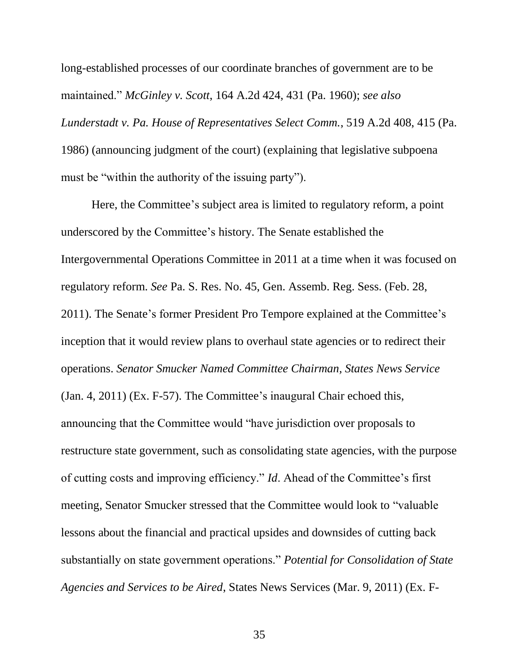long-established processes of our coordinate branches of government are to be maintained." *McGinley v. Scott*, 164 A.2d 424, 431 (Pa. 1960); *see also Lunderstadt v. Pa. House of Representatives Select Comm.*, 519 A.2d 408, 415 (Pa. 1986) (announcing judgment of the court) (explaining that legislative subpoena must be "within the authority of the issuing party").

Here, the Committee's subject area is limited to regulatory reform, a point underscored by the Committee's history. The Senate established the Intergovernmental Operations Committee in 2011 at a time when it was focused on regulatory reform. *See* Pa. S. Res. No. 45, Gen. Assemb. Reg. Sess. (Feb. 28, 2011). The Senate's former President Pro Tempore explained at the Committee's inception that it would review plans to overhaul state agencies or to redirect their operations. *Senator Smucker Named Committee Chairman, States News Service* (Jan. 4, 2011) (Ex. F-57). The Committee's inaugural Chair echoed this, announcing that the Committee would "have jurisdiction over proposals to restructure state government, such as consolidating state agencies, with the purpose of cutting costs and improving efficiency." *Id*. Ahead of the Committee's first meeting, Senator Smucker stressed that the Committee would look to "valuable lessons about the financial and practical upsides and downsides of cutting back substantially on state government operations." *Potential for Consolidation of State Agencies and Services to be Aired*, States News Services (Mar. 9, 2011) (Ex. F-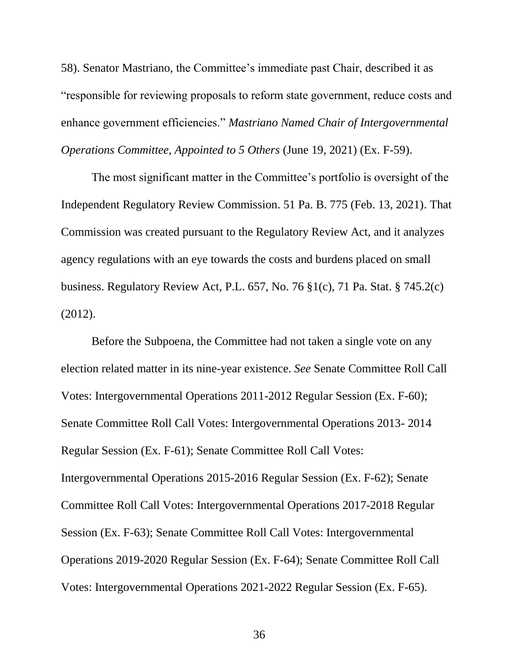58). Senator Mastriano, the Committee's immediate past Chair, described it as "responsible for reviewing proposals to reform state government, reduce costs and enhance government efficiencies." *Mastriano Named Chair of Intergovernmental Operations Committee, Appointed to 5 Others* (June 19, 2021) (Ex. F-59).

The most significant matter in the Committee's portfolio is oversight of the Independent Regulatory Review Commission. 51 Pa. B. 775 (Feb. 13, 2021). That Commission was created pursuant to the Regulatory Review Act, and it analyzes agency regulations with an eye towards the costs and burdens placed on small business. Regulatory Review Act, P.L. 657, No. 76 §1(c), 71 Pa. Stat. § 745.2(c) (2012).

Before the Subpoena, the Committee had not taken a single vote on any election related matter in its nine-year existence. *See* Senate Committee Roll Call Votes: Intergovernmental Operations 2011-2012 Regular Session (Ex. F-60); Senate Committee Roll Call Votes: Intergovernmental Operations 2013- 2014 Regular Session (Ex. F-61); Senate Committee Roll Call Votes: Intergovernmental Operations 2015-2016 Regular Session (Ex. F-62); Senate Committee Roll Call Votes: Intergovernmental Operations 2017-2018 Regular Session (Ex. F-63); Senate Committee Roll Call Votes: Intergovernmental Operations 2019-2020 Regular Session (Ex. F-64); Senate Committee Roll Call Votes: Intergovernmental Operations 2021-2022 Regular Session (Ex. F-65).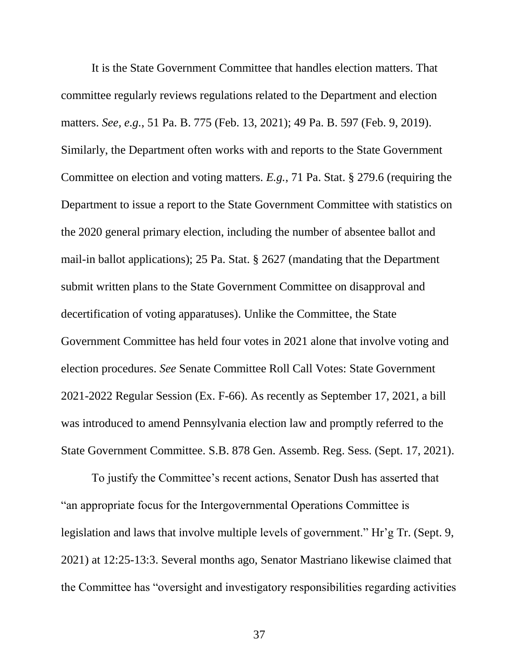It is the State Government Committee that handles election matters. That committee regularly reviews regulations related to the Department and election matters. *See, e.g.*, 51 Pa. B. 775 (Feb. 13, 2021); 49 Pa. B. 597 (Feb. 9, 2019). Similarly, the Department often works with and reports to the State Government Committee on election and voting matters. *E.g.*, 71 Pa. Stat. § 279.6 (requiring the Department to issue a report to the State Government Committee with statistics on the 2020 general primary election, including the number of absentee ballot and mail-in ballot applications); 25 Pa. Stat. § 2627 (mandating that the Department submit written plans to the State Government Committee on disapproval and decertification of voting apparatuses). Unlike the Committee, the State Government Committee has held four votes in 2021 alone that involve voting and election procedures. *See* Senate Committee Roll Call Votes: State Government 2021-2022 Regular Session (Ex. F-66). As recently as September 17, 2021, a bill was introduced to amend Pennsylvania election law and promptly referred to the State Government Committee. S.B. 878 Gen. Assemb. Reg. Sess. (Sept. 17, 2021).

To justify the Committee's recent actions, Senator Dush has asserted that "an appropriate focus for the Intergovernmental Operations Committee is legislation and laws that involve multiple levels of government." Hr'g Tr. (Sept. 9, 2021) at 12:25-13:3. Several months ago, Senator Mastriano likewise claimed that the Committee has "oversight and investigatory responsibilities regarding activities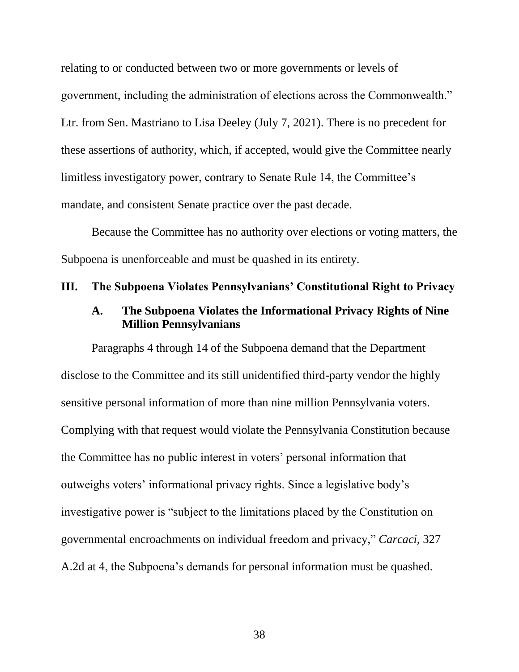relating to or conducted between two or more governments or levels of government, including the administration of elections across the Commonwealth." Ltr. from Sen. Mastriano to Lisa Deeley (July 7, 2021). There is no precedent for these assertions of authority, which, if accepted, would give the Committee nearly limitless investigatory power, contrary to Senate Rule 14, the Committee's mandate, and consistent Senate practice over the past decade.

Because the Committee has no authority over elections or voting matters, the Subpoena is unenforceable and must be quashed in its entirety.

### <span id="page-44-1"></span><span id="page-44-0"></span>**III. The Subpoena Violates Pennsylvanians' Constitutional Right to Privacy**

### **A. The Subpoena Violates the Informational Privacy Rights of Nine Million Pennsylvanians**

Paragraphs 4 through 14 of the Subpoena demand that the Department disclose to the Committee and its still unidentified third-party vendor the highly sensitive personal information of more than nine million Pennsylvania voters. Complying with that request would violate the Pennsylvania Constitution because the Committee has no public interest in voters' personal information that outweighs voters' informational privacy rights. Since a legislative body's investigative power is "subject to the limitations placed by the Constitution on governmental encroachments on individual freedom and privacy," *Carcaci*, 327 A.2d at 4, the Subpoena's demands for personal information must be quashed.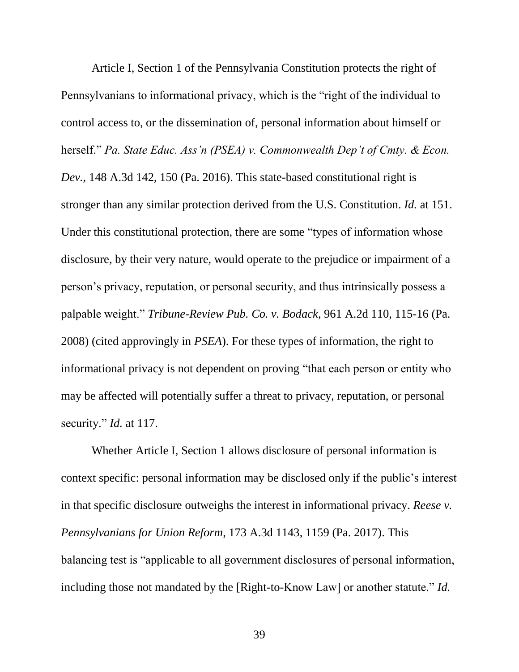Article I, Section 1 of the Pennsylvania Constitution protects the right of Pennsylvanians to informational privacy, which is the "right of the individual to control access to, or the dissemination of, personal information about himself or herself." *Pa. State Educ. Ass'n (PSEA) v. Commonwealth Dep't of Cmty. & Econ. Dev.*, 148 A.3d 142, 150 (Pa. 2016). This state-based constitutional right is stronger than any similar protection derived from the U.S. Constitution. *Id.* at 151. Under this constitutional protection, there are some "types of information whose disclosure, by their very nature, would operate to the prejudice or impairment of a person's privacy, reputation, or personal security, and thus intrinsically possess a palpable weight." *Tribune-Review Pub. Co. v. Bodack*, 961 A.2d 110, 115-16 (Pa. 2008) (cited approvingly in *PSEA*). For these types of information, the right to informational privacy is not dependent on proving "that each person or entity who may be affected will potentially suffer a threat to privacy, reputation, or personal security." *Id.* at 117.

Whether Article I, Section 1 allows disclosure of personal information is context specific: personal information may be disclosed only if the public's interest in that specific disclosure outweighs the interest in informational privacy. *Reese v. Pennsylvanians for Union Reform*, 173 A.3d 1143, 1159 (Pa. 2017). This balancing test is "applicable to all government disclosures of personal information, including those not mandated by the [Right-to-Know Law] or another statute." *Id.*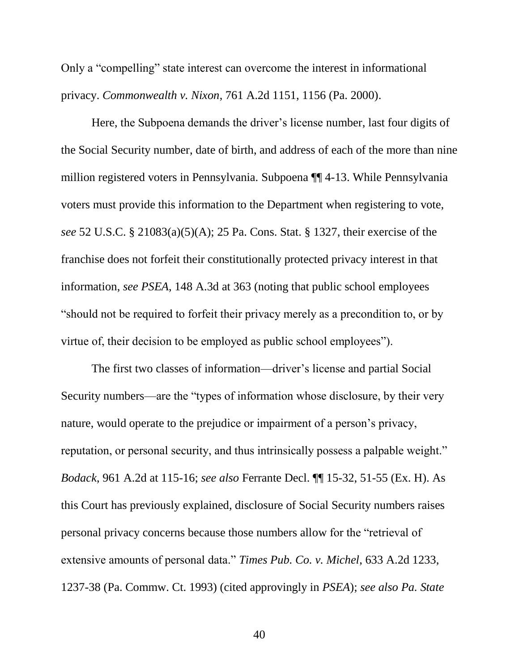Only a "compelling" state interest can overcome the interest in informational privacy. *Commonwealth v. Nixon*, 761 A.2d 1151, 1156 (Pa. 2000).

Here, the Subpoena demands the driver's license number, last four digits of the Social Security number, date of birth, and address of each of the more than nine million registered voters in Pennsylvania. Subpoena ¶¶ 4-13. While Pennsylvania voters must provide this information to the Department when registering to vote, *see* 52 U.S.C. § 21083(a)(5)(A); 25 Pa. Cons. Stat. § 1327, their exercise of the franchise does not forfeit their constitutionally protected privacy interest in that information, *see PSEA*, 148 A.3d at 363 (noting that public school employees "should not be required to forfeit their privacy merely as a precondition to, or by virtue of, their decision to be employed as public school employees").

The first two classes of information—driver's license and partial Social Security numbers—are the "types of information whose disclosure, by their very nature, would operate to the prejudice or impairment of a person's privacy, reputation, or personal security, and thus intrinsically possess a palpable weight." *Bodack*, 961 A.2d at 115-16; *see also* Ferrante Decl. ¶¶ 15-32, 51-55 (Ex. H). As this Court has previously explained, disclosure of Social Security numbers raises personal privacy concerns because those numbers allow for the "retrieval of extensive amounts of personal data." *Times Pub. Co. v. Michel*, 633 A.2d 1233, 1237-38 (Pa. Commw. Ct. 1993) (cited approvingly in *PSEA*); *see also Pa. State*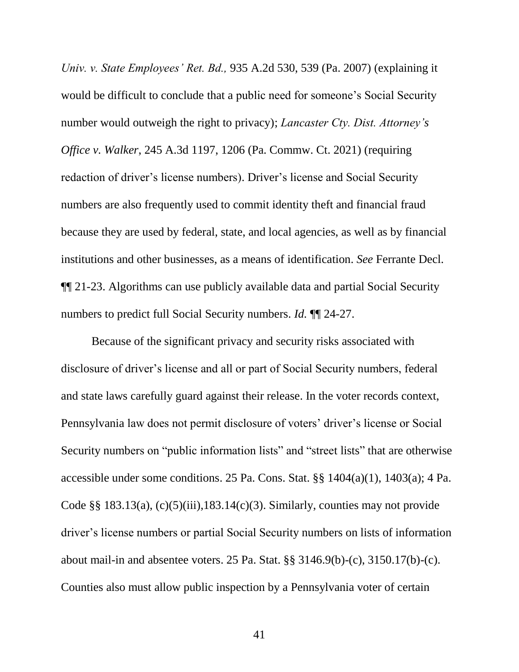*Univ. v. State Employees' Ret. Bd.,* 935 A.2d 530, 539 (Pa. 2007) (explaining it would be difficult to conclude that a public need for someone's Social Security number would outweigh the right to privacy); *Lancaster Cty. Dist. Attorney's Office v. Walker*, 245 A.3d 1197, 1206 (Pa. Commw. Ct. 2021) (requiring redaction of driver's license numbers). Driver's license and Social Security numbers are also frequently used to commit identity theft and financial fraud because they are used by federal, state, and local agencies, as well as by financial institutions and other businesses, as a means of identification. *See* Ferrante Decl. ¶¶ 21-23. Algorithms can use publicly available data and partial Social Security numbers to predict full Social Security numbers. *Id.* ¶¶ 24-27.

Because of the significant privacy and security risks associated with disclosure of driver's license and all or part of Social Security numbers, federal and state laws carefully guard against their release. In the voter records context, Pennsylvania law does not permit disclosure of voters' driver's license or Social Security numbers on "public information lists" and "street lists" that are otherwise accessible under some conditions. 25 Pa. Cons. Stat. §§ 1404(a)(1), 1403(a); 4 Pa. Code  $\S$ § 183.13(a), (c)(5)(iii),183.14(c)(3). Similarly, counties may not provide driver's license numbers or partial Social Security numbers on lists of information about mail-in and absentee voters. 25 Pa. Stat. §§ 3146.9(b)-(c), 3150.17(b)-(c). Counties also must allow public inspection by a Pennsylvania voter of certain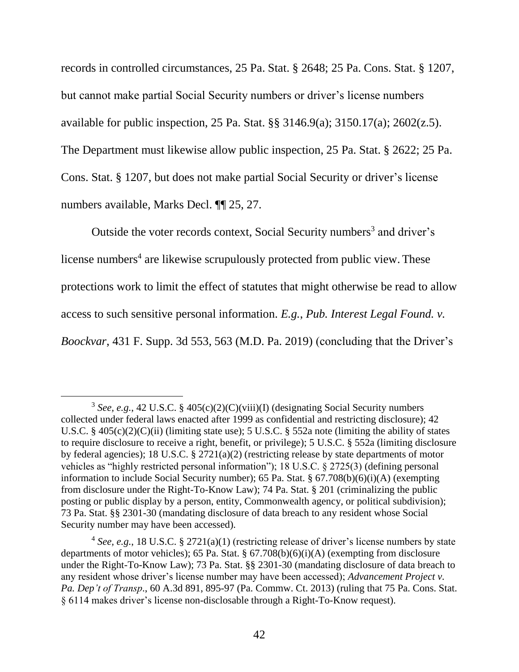records in controlled circumstances, 25 Pa. Stat. § 2648; 25 Pa. Cons. Stat. § 1207, but cannot make partial Social Security numbers or driver's license numbers available for public inspection, 25 Pa. Stat. §§ 3146.9(a); 3150.17(a); 2602(z.5). The Department must likewise allow public inspection, 25 Pa. Stat. § 2622; 25 Pa. Cons. Stat. § 1207, but does not make partial Social Security or driver's license numbers available, Marks Decl. ¶¶ 25, 27.

Outside the voter records context, Social Security numbers<sup>3</sup> and driver's license numbers<sup>4</sup> are likewise scrupulously protected from public view. These protections work to limit the effect of statutes that might otherwise be read to allow access to such sensitive personal information. *E.g.*, *Pub. Interest Legal Found. v. Boockvar*, 431 F. Supp. 3d 553, 563 (M.D. Pa. 2019) (concluding that the Driver's

 $\overline{a}$ 

<sup>&</sup>lt;sup>3</sup> See, e.g., 42 U.S.C. § 405(c)(2)(C)(viii)(I) (designating Social Security numbers collected under federal laws enacted after 1999 as confidential and restricting disclosure); 42 U.S.C. § 405(c)(2)(C)(ii) (limiting state use); 5 U.S.C. § 552a note (limiting the ability of states to require disclosure to receive a right, benefit, or privilege); 5 U.S.C. § 552a (limiting disclosure by federal agencies); 18 U.S.C. § 2721(a)(2) (restricting release by state departments of motor vehicles as "highly restricted personal information"); 18 U.S.C. § 2725(3) (defining personal information to include Social Security number); 65 Pa. Stat. § 67.708(b)(6)(i)(A) (exempting from disclosure under the Right-To-Know Law); 74 Pa. Stat. § 201 (criminalizing the public posting or public display by a person, entity, Commonwealth agency, or political subdivision); 73 Pa. Stat. §§ 2301-30 (mandating disclosure of data breach to any resident whose Social Security number may have been accessed).

<sup>&</sup>lt;sup>4</sup> See, e.g., 18 U.S.C. § 2721(a)(1) (restricting release of driver's license numbers by state departments of motor vehicles); 65 Pa. Stat. § 67.708(b)(6)(i)(A) (exempting from disclosure under the Right-To-Know Law); 73 Pa. Stat. §§ 2301-30 (mandating disclosure of data breach to any resident whose driver's license number may have been accessed); *Advancement Project v. Pa. Dep't of Transp*., 60 A.3d 891, 895-97 (Pa. Commw. Ct. 2013) (ruling that 75 Pa. Cons. Stat. § 6114 makes driver's license non-disclosable through a Right-To-Know request).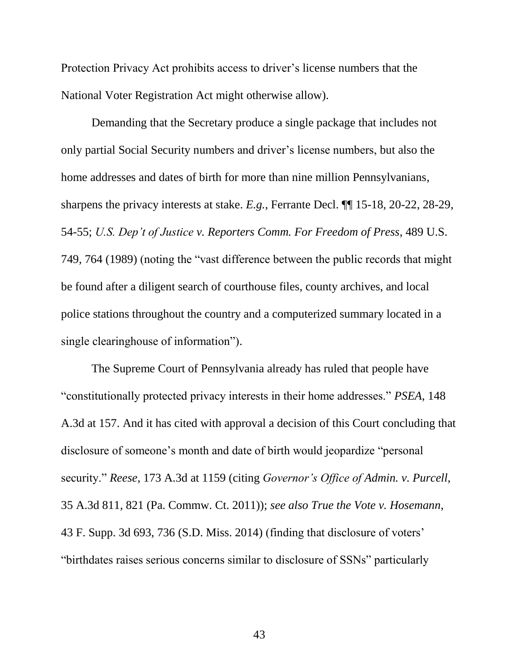Protection Privacy Act prohibits access to driver's license numbers that the National Voter Registration Act might otherwise allow).

Demanding that the Secretary produce a single package that includes not only partial Social Security numbers and driver's license numbers, but also the home addresses and dates of birth for more than nine million Pennsylvanians, sharpens the privacy interests at stake. *E.g.*, Ferrante Decl. ¶¶ 15-18, 20-22, 28-29, 54-55; *U.S. Dep't of Justice v. Reporters Comm. For Freedom of Press*, 489 U.S. 749, 764 (1989) (noting the "vast difference between the public records that might be found after a diligent search of courthouse files, county archives, and local police stations throughout the country and a computerized summary located in a single clearinghouse of information").

The Supreme Court of Pennsylvania already has ruled that people have "constitutionally protected privacy interests in their home addresses." *PSEA*, 148 A.3d at 157. And it has cited with approval a decision of this Court concluding that disclosure of someone's month and date of birth would jeopardize "personal security." *Reese*, 173 A.3d at 1159 (citing *Governor's Office of Admin. v. Purcell*, 35 A.3d 811, 821 (Pa. Commw. Ct. 2011)); *see also True the Vote v. Hosemann*, 43 F. Supp. 3d 693, 736 (S.D. Miss. 2014) (finding that disclosure of voters' "birthdates raises serious concerns similar to disclosure of SSNs" particularly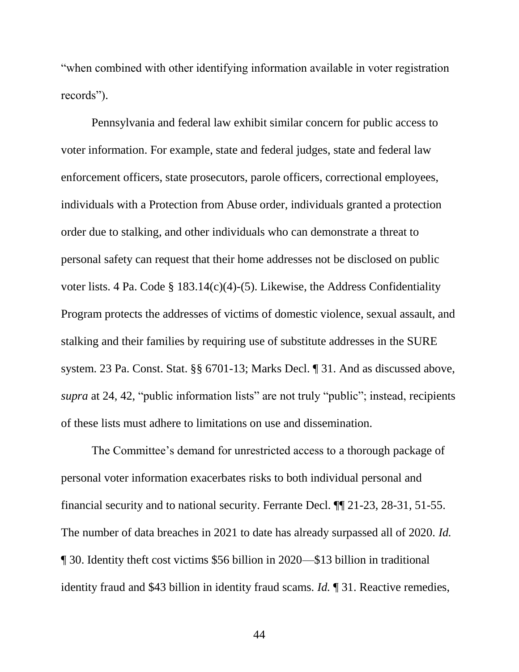"when combined with other identifying information available in voter registration records").

Pennsylvania and federal law exhibit similar concern for public access to voter information. For example, state and federal judges, state and federal law enforcement officers, state prosecutors, parole officers, correctional employees, individuals with a Protection from Abuse order, individuals granted a protection order due to stalking, and other individuals who can demonstrate a threat to personal safety can request that their home addresses not be disclosed on public voter lists. 4 Pa. Code § 183.14(c)(4)-(5). Likewise, the Address Confidentiality Program protects the addresses of victims of domestic violence, sexual assault, and stalking and their families by requiring use of substitute addresses in the SURE system. 23 Pa. Const. Stat. §§ 6701-13; Marks Decl. ¶ 31. And as discussed above, *supra* at 24, 42, "public information lists" are not truly "public"; instead, recipients of these lists must adhere to limitations on use and dissemination.

The Committee's demand for unrestricted access to a thorough package of personal voter information exacerbates risks to both individual personal and financial security and to national security. Ferrante Decl. ¶¶ 21-23, 28-31, 51-55. The number of data breaches in 2021 to date has already surpassed all of 2020. *Id.* ¶ 30. Identity theft cost victims \$56 billion in 2020—\$13 billion in traditional identity fraud and \$43 billion in identity fraud scams. *Id.* ¶ 31. Reactive remedies,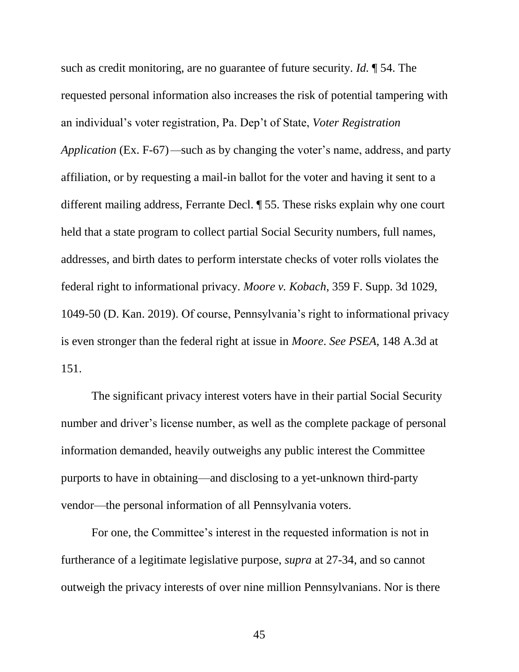such as credit monitoring, are no guarantee of future security. *Id.* ¶ 54. The requested personal information also increases the risk of potential tampering with an individual's voter registration, Pa. Dep't of State, *Voter Registration Application* (Ex. F-67)*—*such as by changing the voter's name, address, and party affiliation, or by requesting a mail-in ballot for the voter and having it sent to a different mailing address, Ferrante Decl. ¶ 55. These risks explain why one court held that a state program to collect partial Social Security numbers, full names, addresses, and birth dates to perform interstate checks of voter rolls violates the federal right to informational privacy. *Moore v. Kobach*, 359 F. Supp. 3d 1029, 1049-50 (D. Kan. 2019). Of course, Pennsylvania's right to informational privacy is even stronger than the federal right at issue in *Moore*. *See PSEA*, 148 A.3d at 151.

The significant privacy interest voters have in their partial Social Security number and driver's license number, as well as the complete package of personal information demanded, heavily outweighs any public interest the Committee purports to have in obtaining—and disclosing to a yet-unknown third-party vendor—the personal information of all Pennsylvania voters.

For one, the Committee's interest in the requested information is not in furtherance of a legitimate legislative purpose, *supra* at 27-34, and so cannot outweigh the privacy interests of over nine million Pennsylvanians. Nor is there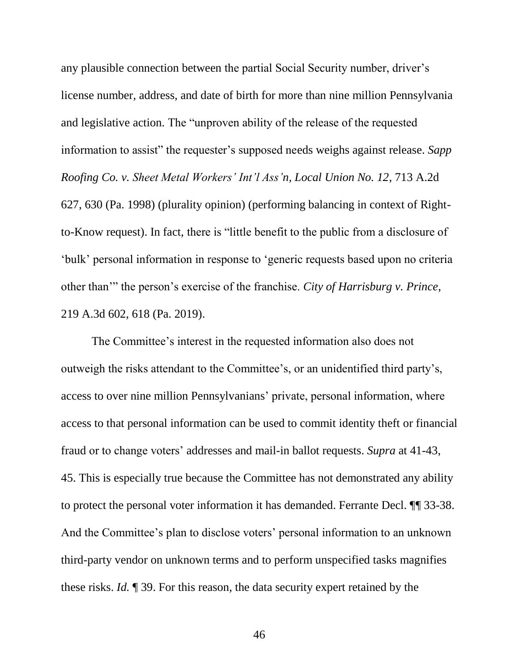any plausible connection between the partial Social Security number, driver's license number, address, and date of birth for more than nine million Pennsylvania and legislative action. The "unproven ability of the release of the requested information to assist" the requester's supposed needs weighs against release. *Sapp Roofing Co. v. Sheet Metal Workers' Int'l Ass'n, Local Union No. 12*, 713 A.2d 627, 630 (Pa. 1998) (plurality opinion) (performing balancing in context of Rightto-Know request). In fact, there is "little benefit to the public from a disclosure of 'bulk' personal information in response to 'generic requests based upon no criteria other than'" the person's exercise of the franchise. *City of Harrisburg v. Prince*, 219 A.3d 602, 618 (Pa. 2019).

The Committee's interest in the requested information also does not outweigh the risks attendant to the Committee's, or an unidentified third party's, access to over nine million Pennsylvanians' private, personal information, where access to that personal information can be used to commit identity theft or financial fraud or to change voters' addresses and mail-in ballot requests. *Supra* at 41-43, 45. This is especially true because the Committee has not demonstrated any ability to protect the personal voter information it has demanded. Ferrante Decl. ¶¶ 33-38. And the Committee's plan to disclose voters' personal information to an unknown third-party vendor on unknown terms and to perform unspecified tasks magnifies these risks. *Id.* ¶ 39. For this reason, the data security expert retained by the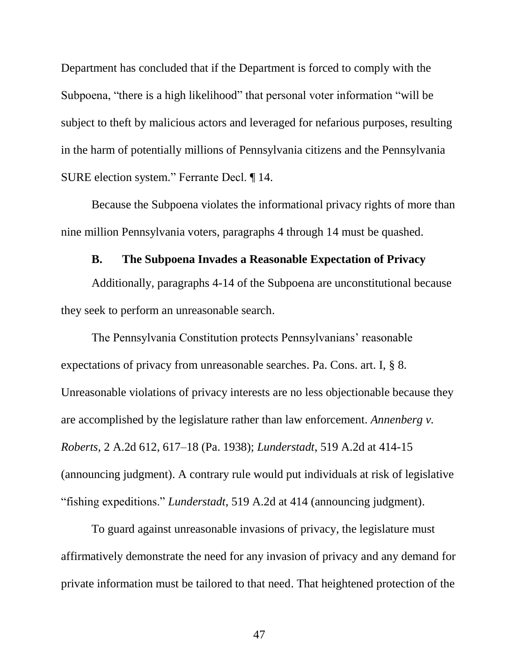Department has concluded that if the Department is forced to comply with the Subpoena, "there is a high likelihood" that personal voter information "will be subject to theft by malicious actors and leveraged for nefarious purposes, resulting in the harm of potentially millions of Pennsylvania citizens and the Pennsylvania SURE election system." Ferrante Decl. ¶ 14.

Because the Subpoena violates the informational privacy rights of more than nine million Pennsylvania voters, paragraphs 4 through 14 must be quashed.

### **B. The Subpoena Invades a Reasonable Expectation of Privacy**

<span id="page-53-0"></span>Additionally, paragraphs 4-14 of the Subpoena are unconstitutional because they seek to perform an unreasonable search.

The Pennsylvania Constitution protects Pennsylvanians' reasonable expectations of privacy from unreasonable searches. Pa. Cons. art. I, § 8. Unreasonable violations of privacy interests are no less objectionable because they are accomplished by the legislature rather than law enforcement. *Annenberg v. Roberts*, 2 A.2d 612, 617–18 (Pa. 1938); *Lunderstadt*, 519 A.2d at 414-15 (announcing judgment). A contrary rule would put individuals at risk of legislative "fishing expeditions." *Lunderstadt*, 519 A.2d at 414 (announcing judgment).

To guard against unreasonable invasions of privacy, the legislature must affirmatively demonstrate the need for any invasion of privacy and any demand for private information must be tailored to that need. That heightened protection of the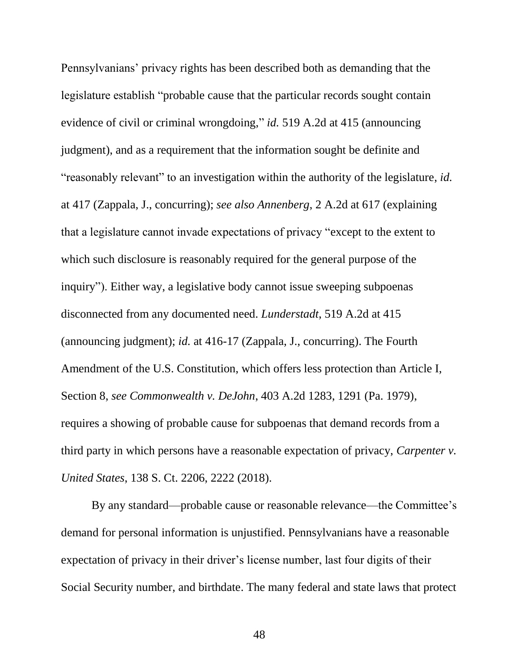Pennsylvanians' privacy rights has been described both as demanding that the legislature establish "probable cause that the particular records sought contain evidence of civil or criminal wrongdoing," *id.* 519 A.2d at 415 (announcing judgment), and as a requirement that the information sought be definite and "reasonably relevant" to an investigation within the authority of the legislature, *id.* at 417 (Zappala, J., concurring); *see also Annenberg*, 2 A.2d at 617 (explaining that a legislature cannot invade expectations of privacy "except to the extent to which such disclosure is reasonably required for the general purpose of the inquiry"). Either way, a legislative body cannot issue sweeping subpoenas disconnected from any documented need. *Lunderstadt*, 519 A.2d at 415 (announcing judgment); *id.* at 416-17 (Zappala, J., concurring). The Fourth Amendment of the U.S. Constitution, which offers less protection than Article I, Section 8, *see Commonwealth v. DeJohn*, 403 A.2d 1283, 1291 (Pa. 1979), requires a showing of probable cause for subpoenas that demand records from a third party in which persons have a reasonable expectation of privacy, *Carpenter v. United States*, 138 S. Ct. 2206, 2222 (2018).

By any standard—probable cause or reasonable relevance—the Committee's demand for personal information is unjustified. Pennsylvanians have a reasonable expectation of privacy in their driver's license number, last four digits of their Social Security number, and birthdate. The many federal and state laws that protect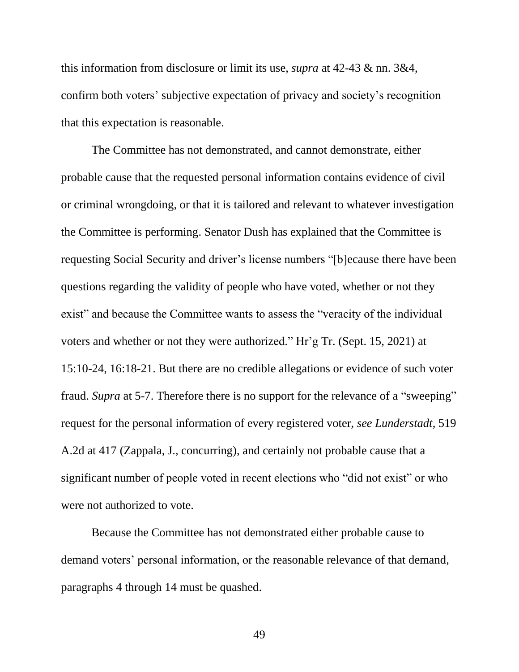this information from disclosure or limit its use, *supra* at 42-43 & nn. 3&4, confirm both voters' subjective expectation of privacy and society's recognition that this expectation is reasonable.

The Committee has not demonstrated, and cannot demonstrate, either probable cause that the requested personal information contains evidence of civil or criminal wrongdoing, or that it is tailored and relevant to whatever investigation the Committee is performing. Senator Dush has explained that the Committee is requesting Social Security and driver's license numbers "[b]ecause there have been questions regarding the validity of people who have voted, whether or not they exist" and because the Committee wants to assess the "veracity of the individual voters and whether or not they were authorized." Hr'g Tr. (Sept. 15, 2021) at 15:10-24, 16:18-21. But there are no credible allegations or evidence of such voter fraud. *Supra* at 5-7. Therefore there is no support for the relevance of a "sweeping" request for the personal information of every registered voter, *see Lunderstadt*, 519 A.2d at 417 (Zappala, J., concurring), and certainly not probable cause that a significant number of people voted in recent elections who "did not exist" or who were not authorized to vote.

Because the Committee has not demonstrated either probable cause to demand voters' personal information, or the reasonable relevance of that demand, paragraphs 4 through 14 must be quashed.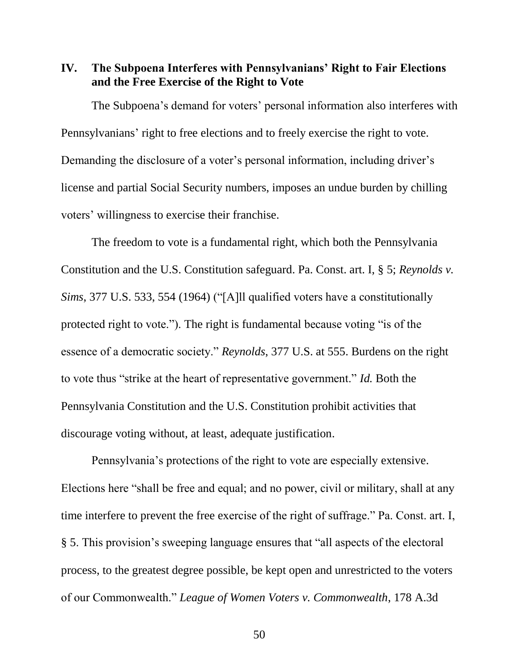<span id="page-56-0"></span>**IV. The Subpoena Interferes with Pennsylvanians' Right to Fair Elections and the Free Exercise of the Right to Vote** 

The Subpoena's demand for voters' personal information also interferes with Pennsylvanians' right to free elections and to freely exercise the right to vote. Demanding the disclosure of a voter's personal information, including driver's license and partial Social Security numbers, imposes an undue burden by chilling voters' willingness to exercise their franchise.

The freedom to vote is a fundamental right, which both the Pennsylvania Constitution and the U.S. Constitution safeguard. Pa. Const. art. I, § 5; *Reynolds v. Sims*, 377 U.S. 533, 554 (1964) ("[A]ll qualified voters have a constitutionally protected right to vote."). The right is fundamental because voting "is of the essence of a democratic society." *Reynolds*, 377 U.S. at 555. Burdens on the right to vote thus "strike at the heart of representative government." *Id.* Both the Pennsylvania Constitution and the U.S. Constitution prohibit activities that discourage voting without, at least, adequate justification.

Pennsylvania's protections of the right to vote are especially extensive. Elections here "shall be free and equal; and no power, civil or military, shall at any time interfere to prevent the free exercise of the right of suffrage." Pa. Const. art. I, § 5. This provision's sweeping language ensures that "all aspects of the electoral process, to the greatest degree possible, be kept open and unrestricted to the voters of our Commonwealth." *League of Women Voters v. Commonwealth*, 178 A.3d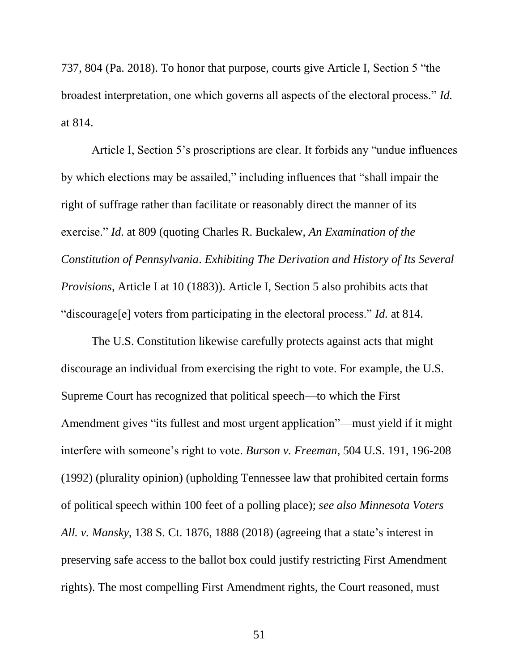737, 804 (Pa. 2018). To honor that purpose, courts give Article I, Section 5 "the broadest interpretation, one which governs all aspects of the electoral process." *Id.* at 814.

Article I, Section 5's proscriptions are clear. It forbids any "undue influences by which elections may be assailed," including influences that "shall impair the right of suffrage rather than facilitate or reasonably direct the manner of its exercise." *Id*. at 809 (quoting Charles R. Buckalew, *An Examination of the Constitution of Pennsylvania*. *Exhibiting The Derivation and History of Its Several Provisions*, Article I at 10 (1883)). Article I, Section 5 also prohibits acts that "discourage[e] voters from participating in the electoral process." *Id.* at 814.

The U.S. Constitution likewise carefully protects against acts that might discourage an individual from exercising the right to vote. For example, the U.S. Supreme Court has recognized that political speech—to which the First Amendment gives "its fullest and most urgent application"—must yield if it might interfere with someone's right to vote. *Burson v. Freeman*, 504 U.S. 191, 196-208 (1992) (plurality opinion) (upholding Tennessee law that prohibited certain forms of political speech within 100 feet of a polling place); *see also Minnesota Voters All. v. Mansky*, 138 S. Ct. 1876, 1888 (2018) (agreeing that a state's interest in preserving safe access to the ballot box could justify restricting First Amendment rights). The most compelling First Amendment rights, the Court reasoned, must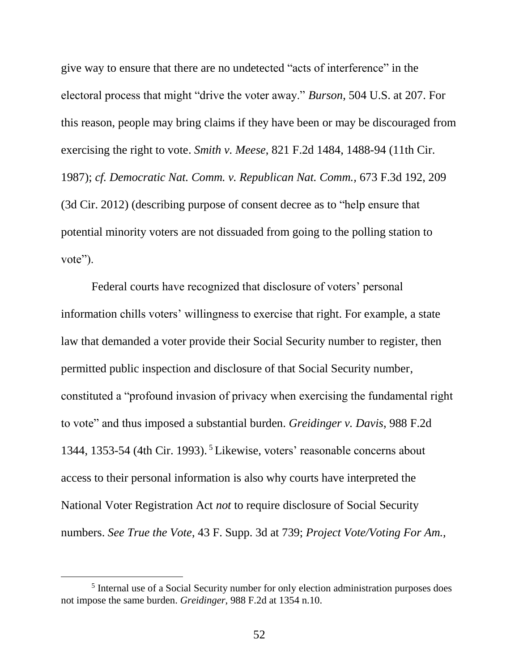give way to ensure that there are no undetected "acts of interference" in the electoral process that might "drive the voter away." *Burson*, 504 U.S. at 207. For this reason, people may bring claims if they have been or may be discouraged from exercising the right to vote. *Smith v. Meese*, 821 F.2d 1484, 1488-94 (11th Cir. 1987); *cf. Democratic Nat. Comm. v. Republican Nat. Comm.,* 673 F.3d 192, 209 (3d Cir. 2012) (describing purpose of consent decree as to "help ensure that potential minority voters are not dissuaded from going to the polling station to vote").

Federal courts have recognized that disclosure of voters' personal information chills voters' willingness to exercise that right. For example, a state law that demanded a voter provide their Social Security number to register, then permitted public inspection and disclosure of that Social Security number, constituted a "profound invasion of privacy when exercising the fundamental right to vote" and thus imposed a substantial burden. *Greidinger v. Davis*, 988 F.2d 1344, 1353-54 (4th Cir. 1993). <sup>5</sup> Likewise, voters' reasonable concerns about access to their personal information is also why courts have interpreted the National Voter Registration Act *not* to require disclosure of Social Security numbers. *See True the Vote*, 43 F. Supp. 3d at 739; *Project Vote/Voting For Am.,* 

l

<sup>&</sup>lt;sup>5</sup> Internal use of a Social Security number for only election administration purposes does not impose the same burden. *Greidinger*, 988 F.2d at 1354 n.10.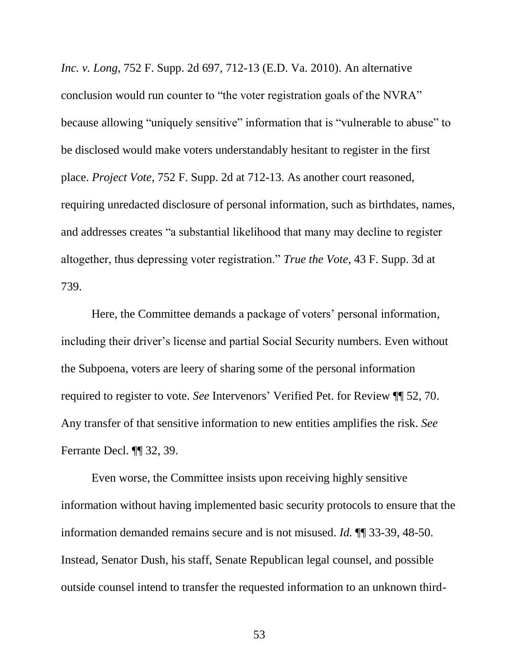*Inc. v. Long*, 752 F. Supp. 2d 697, 712-13 (E.D. Va. 2010). An alternative conclusion would run counter to "the voter registration goals of the NVRA" because allowing "uniquely sensitive" information that is "vulnerable to abuse" to be disclosed would make voters understandably hesitant to register in the first place. *Project Vote*, 752 F. Supp. 2d at 712-13. As another court reasoned, requiring unredacted disclosure of personal information, such as birthdates, names, and addresses creates "a substantial likelihood that many may decline to register altogether, thus depressing voter registration." *True the Vote*, 43 F. Supp. 3d at 739.

Here, the Committee demands a package of voters' personal information, including their driver's license and partial Social Security numbers. Even without the Subpoena, voters are leery of sharing some of the personal information required to register to vote. *See* Intervenors' Verified Pet. for Review ¶¶ 52, 70. Any transfer of that sensitive information to new entities amplifies the risk. *See* Ferrante Decl. ¶¶ 32, 39.

Even worse, the Committee insists upon receiving highly sensitive information without having implemented basic security protocols to ensure that the information demanded remains secure and is not misused. *Id.* ¶¶ 33-39, 48-50. Instead, Senator Dush, his staff, Senate Republican legal counsel, and possible outside counsel intend to transfer the requested information to an unknown third-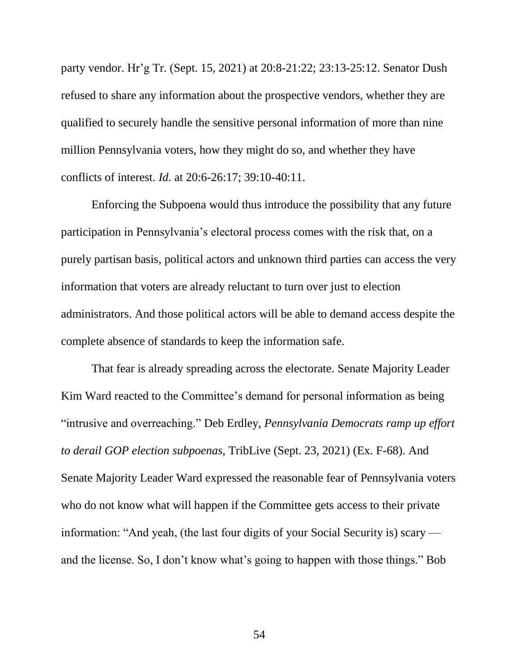party vendor. Hr'g Tr. (Sept. 15, 2021) at 20:8-21:22; 23:13-25:12. Senator Dush refused to share any information about the prospective vendors, whether they are qualified to securely handle the sensitive personal information of more than nine million Pennsylvania voters, how they might do so, and whether they have conflicts of interest. *Id.* at 20:6-26:17; 39:10-40:11.

Enforcing the Subpoena would thus introduce the possibility that any future participation in Pennsylvania's electoral process comes with the risk that, on a purely partisan basis, political actors and unknown third parties can access the very information that voters are already reluctant to turn over just to election administrators. And those political actors will be able to demand access despite the complete absence of standards to keep the information safe.

That fear is already spreading across the electorate. Senate Majority Leader Kim Ward reacted to the Committee's demand for personal information as being "intrusive and overreaching." Deb Erdley, *Pennsylvania Democrats ramp up effort to derail GOP election subpoenas,* TribLive (Sept. 23, 2021) (Ex. F-68). And Senate Majority Leader Ward expressed the reasonable fear of Pennsylvania voters who do not know what will happen if the Committee gets access to their private information: "And yeah, (the last four digits of your Social Security is) scary and the license. So, I don't know what's going to happen with those things." Bob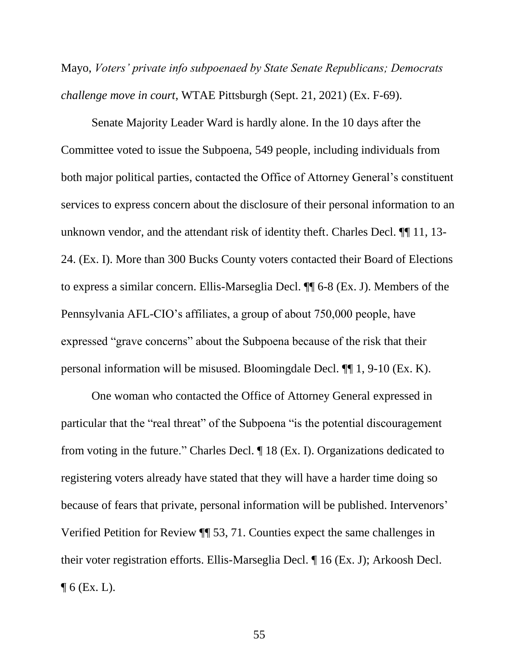Mayo, *Voters' private info subpoenaed by State Senate Republicans; Democrats challenge move in court*, WTAE Pittsburgh (Sept. 21, 2021) (Ex. F-69).

Senate Majority Leader Ward is hardly alone. In the 10 days after the Committee voted to issue the Subpoena, 549 people, including individuals from both major political parties, contacted the Office of Attorney General's constituent services to express concern about the disclosure of their personal information to an unknown vendor, and the attendant risk of identity theft. Charles Decl. ¶¶ 11, 13- 24. (Ex. I). More than 300 Bucks County voters contacted their Board of Elections to express a similar concern. Ellis-Marseglia Decl. ¶¶ 6-8 (Ex. J). Members of the Pennsylvania AFL-CIO's affiliates, a group of about 750,000 people, have expressed "grave concerns" about the Subpoena because of the risk that their personal information will be misused. Bloomingdale Decl. ¶¶ 1, 9-10 (Ex. K).

One woman who contacted the Office of Attorney General expressed in particular that the "real threat" of the Subpoena "is the potential discouragement from voting in the future." Charles Decl. ¶ 18 (Ex. I). Organizations dedicated to registering voters already have stated that they will have a harder time doing so because of fears that private, personal information will be published. Intervenors' Verified Petition for Review ¶¶ 53, 71. Counties expect the same challenges in their voter registration efforts. Ellis-Marseglia Decl. ¶ 16 (Ex. J); Arkoosh Decl.  $\P$  6 (Ex. L).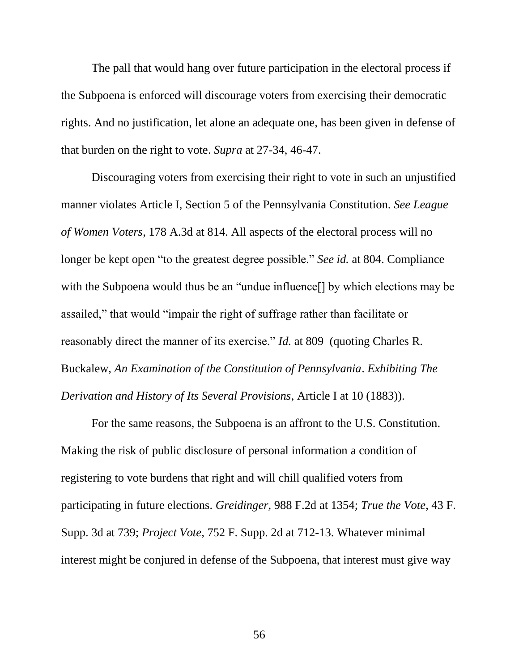The pall that would hang over future participation in the electoral process if the Subpoena is enforced will discourage voters from exercising their democratic rights. And no justification, let alone an adequate one, has been given in defense of that burden on the right to vote. *Supra* at 27-34, 46-47.

Discouraging voters from exercising their right to vote in such an unjustified manner violates Article I, Section 5 of the Pennsylvania Constitution. *See League of Women Voters*, 178 A.3d at 814. All aspects of the electoral process will no longer be kept open "to the greatest degree possible." *See id.* at 804. Compliance with the Subpoena would thus be an "undue influence" by which elections may be assailed," that would "impair the right of suffrage rather than facilitate or reasonably direct the manner of its exercise." *Id.* at 809 (quoting Charles R. Buckalew, *An Examination of the Constitution of Pennsylvania*. *Exhibiting The Derivation and History of Its Several Provisions*, Article I at 10 (1883)).

For the same reasons, the Subpoena is an affront to the U.S. Constitution. Making the risk of public disclosure of personal information a condition of registering to vote burdens that right and will chill qualified voters from participating in future elections. *Greidinger*, 988 F.2d at 1354; *True the Vote*, 43 F. Supp. 3d at 739; *Project Vote*, 752 F. Supp. 2d at 712-13. Whatever minimal interest might be conjured in defense of the Subpoena, that interest must give way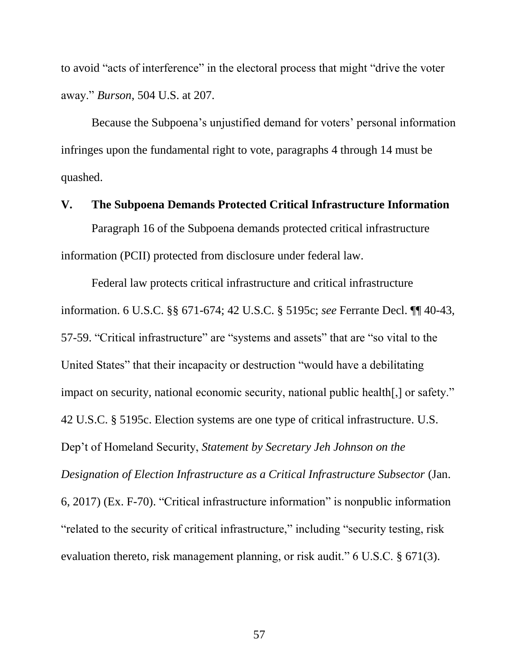to avoid "acts of interference" in the electoral process that might "drive the voter away." *Burson*, 504 U.S. at 207.

Because the Subpoena's unjustified demand for voters' personal information infringes upon the fundamental right to vote, paragraphs 4 through 14 must be quashed.

#### <span id="page-63-0"></span>**V. The Subpoena Demands Protected Critical Infrastructure Information**

Paragraph 16 of the Subpoena demands protected critical infrastructure information (PCII) protected from disclosure under federal law.

Federal law protects critical infrastructure and critical infrastructure information. 6 U.S.C. §§ 671-674; 42 U.S.C. § 5195c; *see* Ferrante Decl. ¶¶ 40-43, 57-59. "Critical infrastructure" are "systems and assets" that are "so vital to the United States" that their incapacity or destruction "would have a debilitating impact on security, national economic security, national public health[,] or safety." 42 U.S.C. § 5195c. Election systems are one type of critical infrastructure. U.S. Dep't of Homeland Security, *Statement by Secretary Jeh Johnson on the Designation of Election Infrastructure as a Critical Infrastructure Subsector* (Jan. 6, 2017) (Ex. F-70). "Critical infrastructure information" is nonpublic information "related to the security of critical infrastructure," including "security testing, risk evaluation thereto, risk management planning, or risk audit." 6 U.S.C. § 671(3).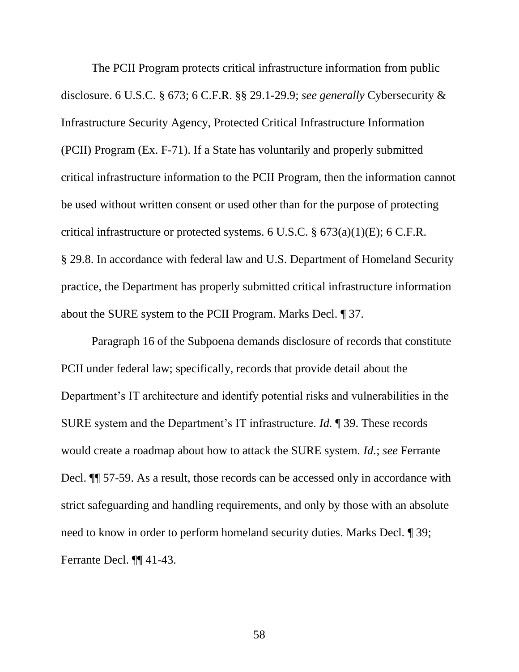The PCII Program protects critical infrastructure information from public disclosure. 6 U.S.C. § 673; 6 C.F.R. §§ 29.1-29.9; *see generally* Cybersecurity & Infrastructure Security Agency, Protected Critical Infrastructure Information (PCII) Program (Ex. F-71). If a State has voluntarily and properly submitted critical infrastructure information to the PCII Program, then the information cannot be used without written consent or used other than for the purpose of protecting critical infrastructure or protected systems. 6 U.S.C. § 673(a)(1)(E); 6 C.F.R. § 29.8. In accordance with federal law and U.S. Department of Homeland Security practice, the Department has properly submitted critical infrastructure information about the SURE system to the PCII Program. Marks Decl. ¶ 37.

Paragraph 16 of the Subpoena demands disclosure of records that constitute PCII under federal law; specifically, records that provide detail about the Department's IT architecture and identify potential risks and vulnerabilities in the SURE system and the Department's IT infrastructure. *Id.* ¶ 39. These records would create a roadmap about how to attack the SURE system. *Id.*; *see* Ferrante Decl. ¶¶ 57-59. As a result, those records can be accessed only in accordance with strict safeguarding and handling requirements, and only by those with an absolute need to know in order to perform homeland security duties. Marks Decl. ¶ 39; Ferrante Decl. ¶¶ 41-43.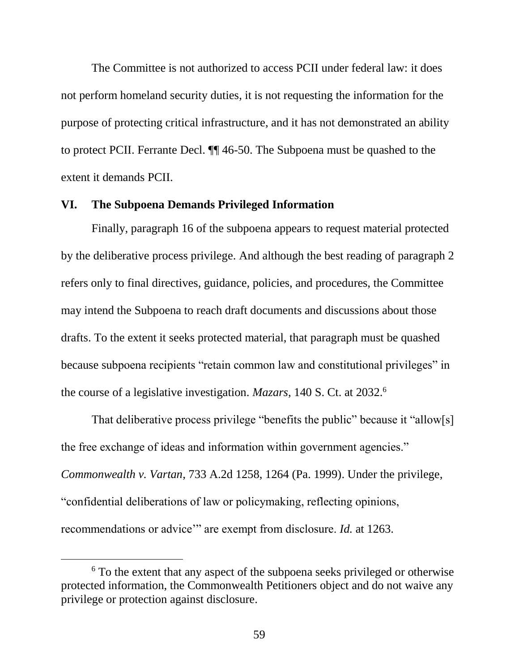The Committee is not authorized to access PCII under federal law: it does not perform homeland security duties, it is not requesting the information for the purpose of protecting critical infrastructure, and it has not demonstrated an ability to protect PCII. Ferrante Decl. ¶¶ 46-50. The Subpoena must be quashed to the extent it demands PCII.

#### <span id="page-65-0"></span>**VI. The Subpoena Demands Privileged Information**

Finally, paragraph 16 of the subpoena appears to request material protected by the deliberative process privilege. And although the best reading of paragraph 2 refers only to final directives, guidance, policies, and procedures, the Committee may intend the Subpoena to reach draft documents and discussions about those drafts. To the extent it seeks protected material, that paragraph must be quashed because subpoena recipients "retain common law and constitutional privileges" in the course of a legislative investigation. *Mazars*, 140 S. Ct. at 2032.<sup>6</sup>

That deliberative process privilege "benefits the public" because it "allow[s] the free exchange of ideas and information within government agencies." *Commonwealth v. Vartan*, 733 A.2d 1258, 1264 (Pa. 1999). Under the privilege, "confidential deliberations of law or policymaking, reflecting opinions, recommendations or advice'" are exempt from disclosure. *Id.* at 1263.

 $\overline{a}$ 

<sup>&</sup>lt;sup>6</sup> To the extent that any aspect of the subpoena seeks privileged or otherwise protected information, the Commonwealth Petitioners object and do not waive any privilege or protection against disclosure.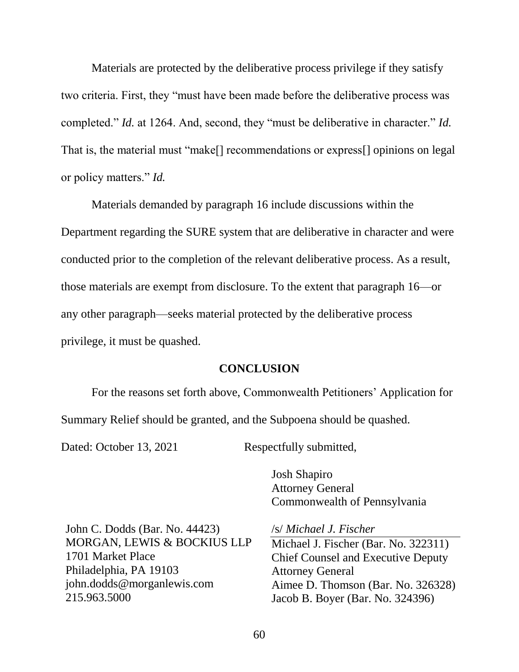Materials are protected by the deliberative process privilege if they satisfy two criteria. First, they "must have been made before the deliberative process was completed." *Id.* at 1264. And, second, they "must be deliberative in character." *Id.* That is, the material must "make[] recommendations or express[] opinions on legal or policy matters." *Id.*

Materials demanded by paragraph 16 include discussions within the Department regarding the SURE system that are deliberative in character and were conducted prior to the completion of the relevant deliberative process. As a result, those materials are exempt from disclosure. To the extent that paragraph 16—or any other paragraph—seeks material protected by the deliberative process privilege, it must be quashed.

### **CONCLUSION**

<span id="page-66-0"></span>For the reasons set forth above, Commonwealth Petitioners' Application for Summary Relief should be granted, and the Subpoena should be quashed.

Dated: October 13, 2021 Respectfully submitted,

Josh Shapiro Attorney General Commonwealth of Pennsylvania

John C. Dodds (Bar. No. 44423) MORGAN, LEWIS & BOCKIUS LLP 1701 Market Place Philadelphia, PA 19103 john.dodds@morganlewis.com 215.963.5000

/s/ *Michael J. Fischer*

Michael J. Fischer (Bar. No. 322311) Chief Counsel and Executive Deputy Attorney General Aimee D. Thomson (Bar. No. 326328) Jacob B. Boyer (Bar. No. 324396)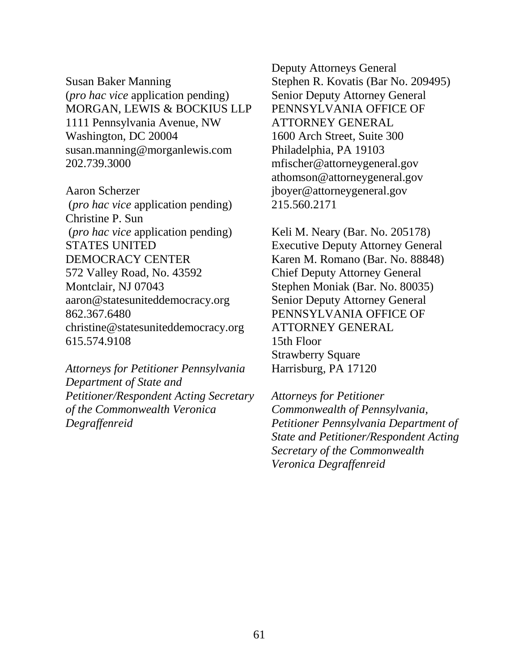Susan Baker Manning (*pro hac vice* application pending) MORGAN, LEWIS & BOCKIUS LLP 1111 Pennsylvania Avenue, NW Washington, DC 20004 susan.manning@morganlewis.com 202.739.3000

Aaron Scherzer (*pro hac vice* application pending) Christine P. Sun (*pro hac vice* application pending) STATES UNITED DEMOCRACY CENTER 572 Valley Road, No. 43592 Montclair, NJ 07043 aaron@statesuniteddemocracy.org 862.367.6480 christine@statesuniteddemocracy.org 615.574.9108

*Attorneys for Petitioner Pennsylvania Department of State and Petitioner/Respondent Acting Secretary of the Commonwealth Veronica Degraffenreid*

Deputy Attorneys General Stephen R. Kovatis (Bar No. 209495) Senior Deputy Attorney General PENNSYLVANIA OFFICE OF ATTORNEY GENERAL 1600 Arch Street, Suite 300 Philadelphia, PA 19103 mfischer@attorneygeneral.gov athomson@attorneygeneral.gov jboyer@attorneygeneral.gov 215.560.2171

Keli M. Neary (Bar. No. 205178) Executive Deputy Attorney General Karen M. Romano (Bar. No. 88848) Chief Deputy Attorney General Stephen Moniak (Bar. No. 80035) Senior Deputy Attorney General PENNSYLVANIA OFFICE OF ATTORNEY GENERAL 15th Floor Strawberry Square Harrisburg, PA 17120

*Attorneys for Petitioner Commonwealth of Pennsylvania, Petitioner Pennsylvania Department of State and Petitioner/Respondent Acting Secretary of the Commonwealth Veronica Degraffenreid*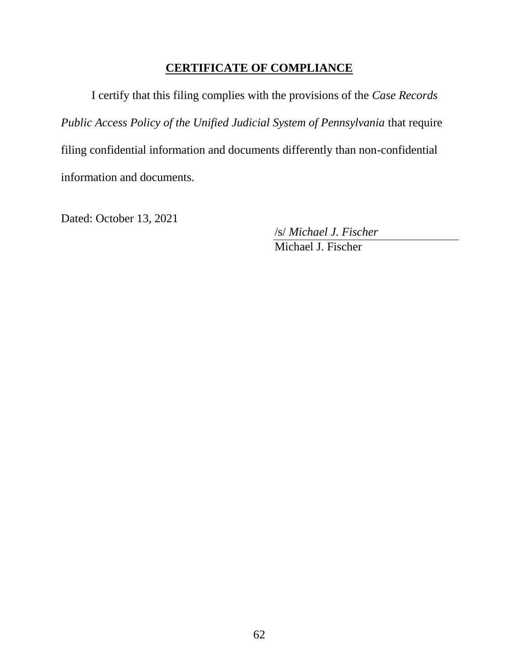# **CERTIFICATE OF COMPLIANCE**

I certify that this filing complies with the provisions of the *Case Records Public Access Policy of the Unified Judicial System of Pennsylvania* that require filing confidential information and documents differently than non-confidential information and documents.

Dated: October 13, 2021

/s/ *Michael J. Fischer*

Michael J. Fischer